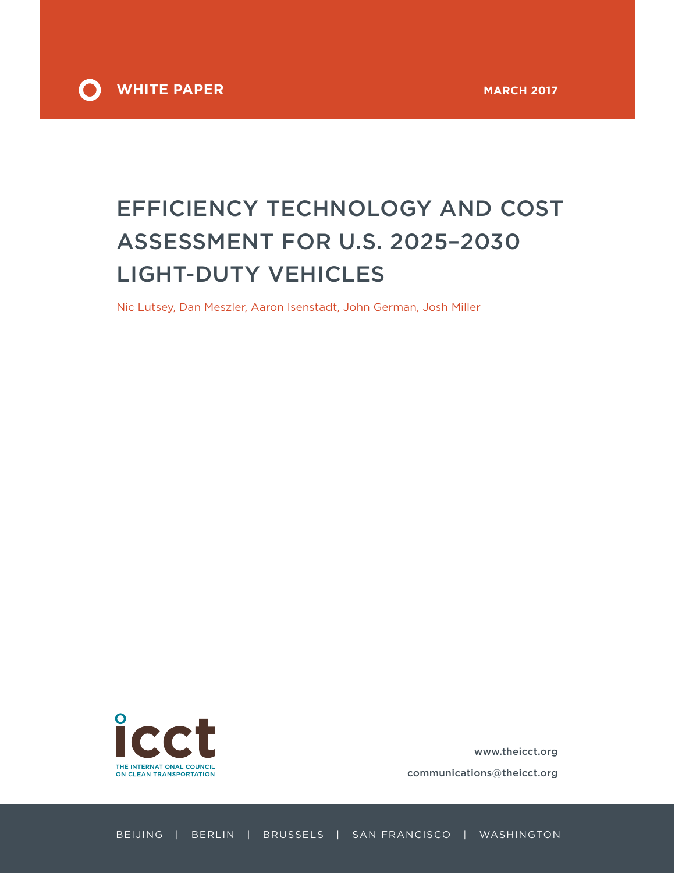

# EFFICIENCY TECHNOLOGY AND COST ASSESSMENT FOR U.S. 2025–2030 LIGHT-DUTY VEHICLES

Nic Lutsey, Dan Meszler, Aaron Isenstadt, John German, Josh Miller



[www.theicct.org](http://www.theicct.org)

[communications@theicct.org](mailto:communications%40theicct.org%20%20%20%20?subject=)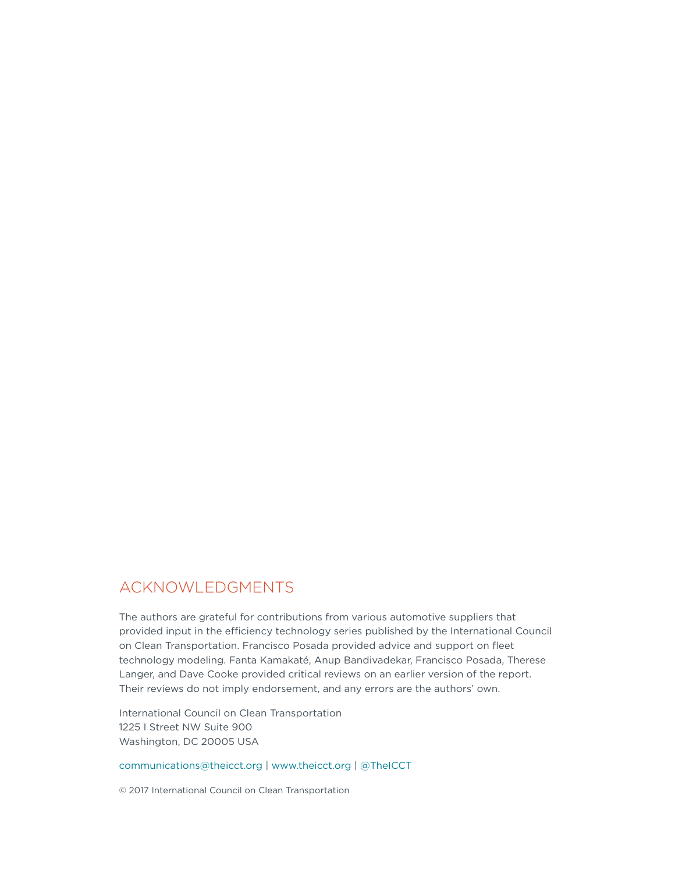### ACKNOWLEDGMENTS

The authors are grateful for contributions from various automotive suppliers that provided input in the efficiency technology series published by the International Council on Clean Transportation. Francisco Posada provided advice and support on fleet technology modeling. Fanta Kamakaté, Anup Bandivadekar, Francisco Posada, Therese Langer, and Dave Cooke provided critical reviews on an earlier version of the report. Their reviews do not imply endorsement, and any errors are the authors' own.

International Council on Clean Transportation 1225 I Street NW Suite 900 Washington, DC 20005 USA

[communications@theicct.org](mailto:communications%40theicct.org?subject=) |<www.theicct.org>| [@TheICCT](https://twitter.com/TheICCT)

© 2017 International Council on Clean Transportation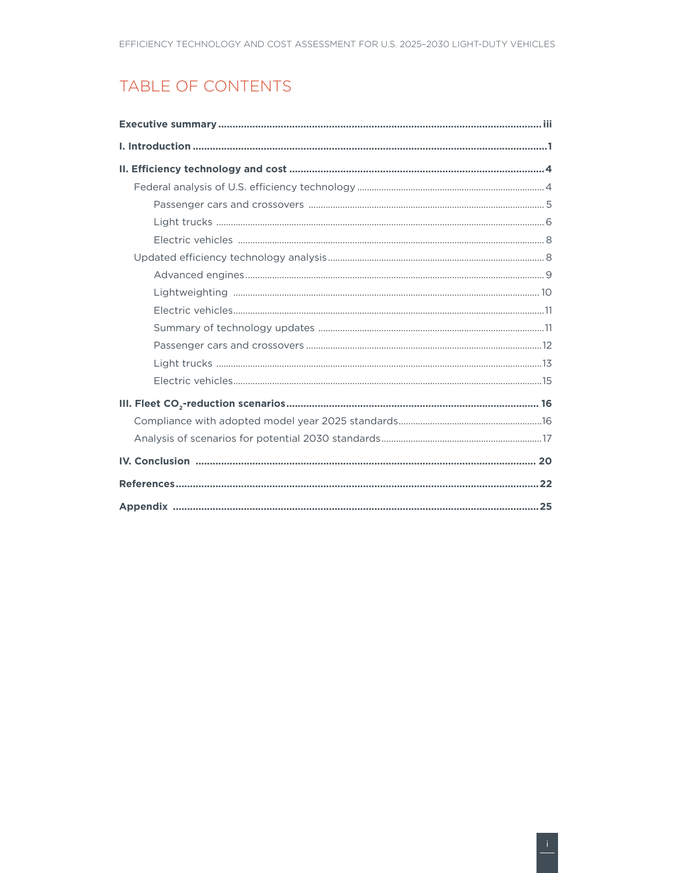# TABLE OF CONTENTS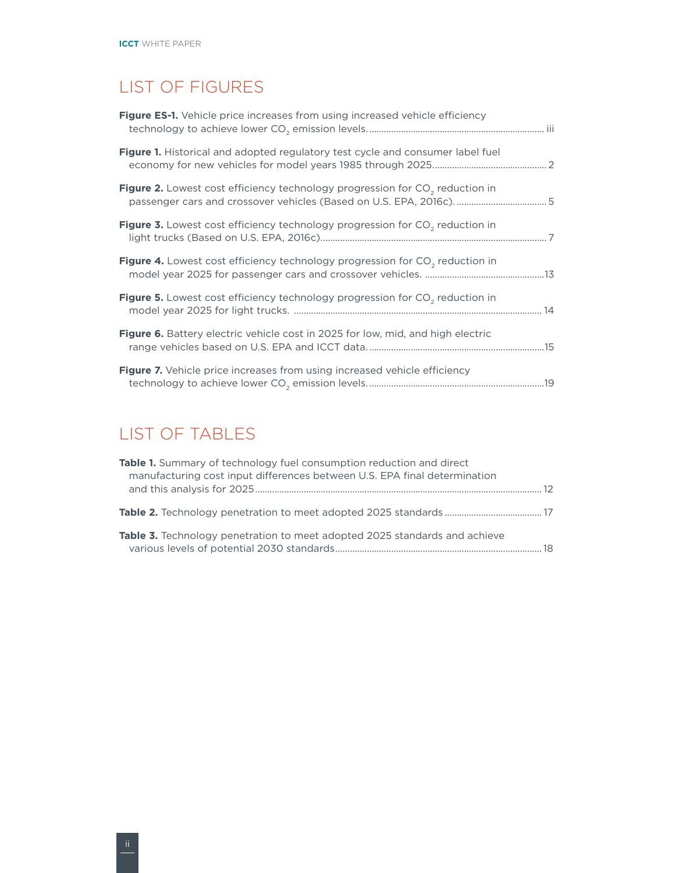# LIST OF FIGURES

| Figure ES-1. Vehicle price increases from using increased vehicle efficiency             |  |
|------------------------------------------------------------------------------------------|--|
| Figure 1. Historical and adopted regulatory test cycle and consumer label fuel           |  |
| Figure 2. Lowest cost efficiency technology progression for CO <sub>2</sub> reduction in |  |
| Figure 3. Lowest cost efficiency technology progression for CO <sub>2</sub> reduction in |  |
| Figure 4. Lowest cost efficiency technology progression for CO <sub>2</sub> reduction in |  |
| Figure 5. Lowest cost efficiency technology progression for CO <sub>2</sub> reduction in |  |
| <b>Figure 6.</b> Battery electric vehicle cost in 2025 for low, mid, and high electric   |  |
| <b>Figure 7.</b> Vehicle price increases from using increased vehicle efficiency         |  |

# LIST OF TABLES

| <b>Table 1.</b> Summary of technology fuel consumption reduction and direct<br>manufacturing cost input differences between U.S. EPA final determination |     |
|----------------------------------------------------------------------------------------------------------------------------------------------------------|-----|
|                                                                                                                                                          | -12 |
|                                                                                                                                                          |     |
| <b>Table 3.</b> Technology penetration to meet adopted 2025 standards and achieve                                                                        |     |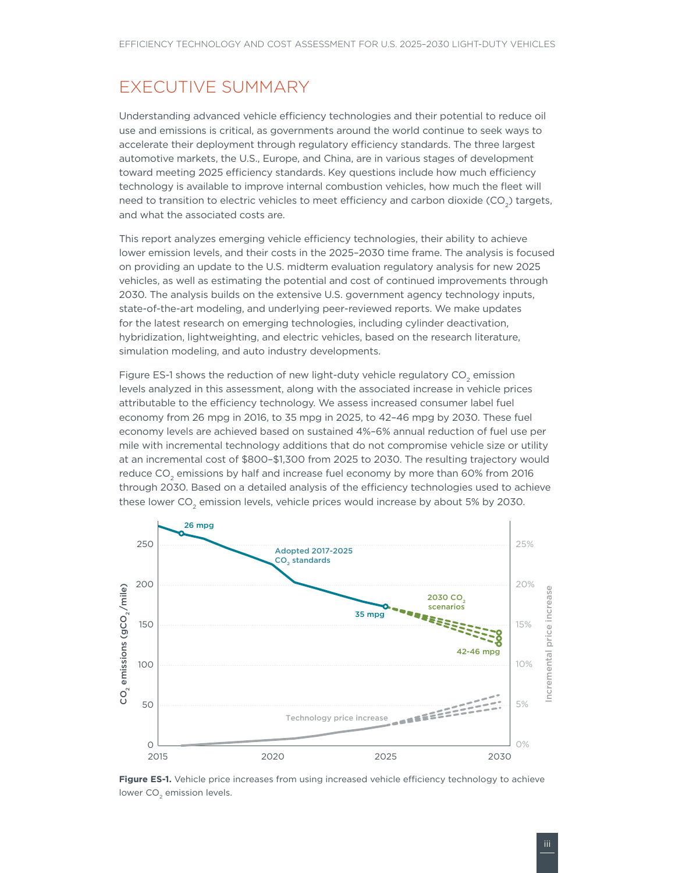## <span id="page-4-0"></span>EXECUTIVE SUMMARY

Understanding advanced vehicle efficiency technologies and their potential to reduce oil use and emissions is critical, as governments around the world continue to seek ways to accelerate their deployment through regulatory efficiency standards. The three largest automotive markets, the U.S., Europe, and China, are in various stages of development toward meeting 2025 efficiency standards. Key questions include how much efficiency technology is available to improve internal combustion vehicles, how much the fleet will need to transition to electric vehicles to meet efficiency and carbon dioxide  $(CO<sub>2</sub>)$  targets, and what the associated costs are.

This report analyzes emerging vehicle efficiency technologies, their ability to achieve lower emission levels, and their costs in the 2025–2030 time frame. The analysis is focused on providing an update to the U.S. midterm evaluation regulatory analysis for new 2025 vehicles, as well as estimating the potential and cost of continued improvements through 2030. The analysis builds on the extensive U.S. government agency technology inputs, state-of-the-art modeling, and underlying peer-reviewed reports. We make updates for the latest research on emerging technologies, including cylinder deactivation, hybridization, lightweighting, and electric vehicles, based on the research literature, simulation modeling, and auto industry developments.

Figure ES-1 shows the reduction of new light-duty vehicle regulatory CO<sub>2</sub> emission levels analyzed in this assessment, along with the associated increase in vehicle prices attributable to the efficiency technology. We assess increased consumer label fuel economy from 26 mpg in 2016, to 35 mpg in 2025, to 42–46 mpg by 2030. These fuel economy levels are achieved based on sustained 4%–6% annual reduction of fuel use per mile with incremental technology additions that do not compromise vehicle size or utility at an incremental cost of \$800–\$1,300 from 2025 to 2030. The resulting trajectory would reduce CO<sub>2</sub> emissions by half and increase fuel economy by more than 60% from 2016 through 2030. Based on a detailed analysis of the efficiency technologies used to achieve these lower CO<sub>2</sub> emission levels, vehicle prices would increase by about 5% by 2030.



**Figure ES-1.** Vehicle price increases from using increased vehicle efficiency technology to achieve lower CO<sub>2</sub> emission levels.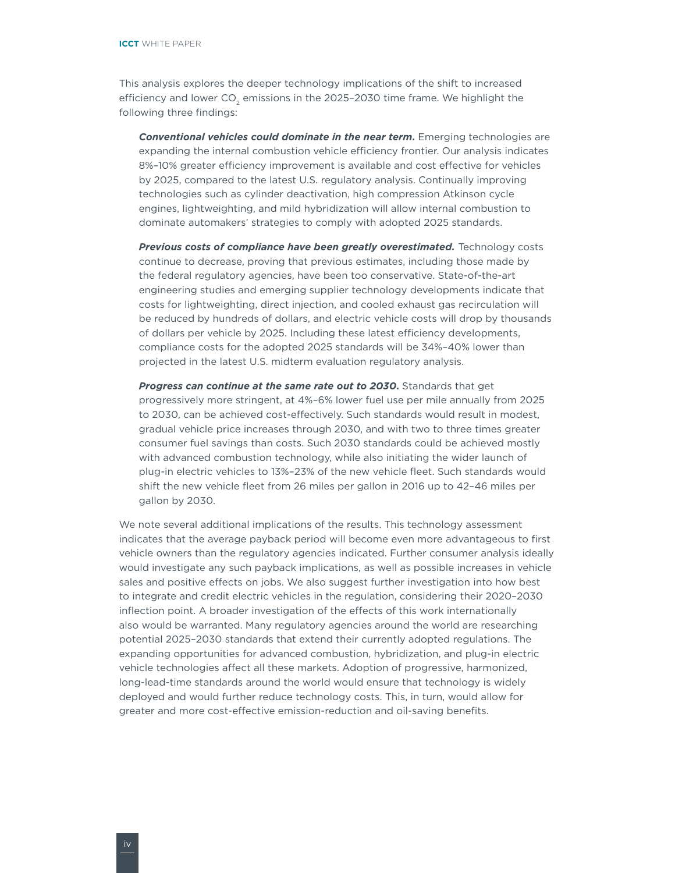This analysis explores the deeper technology implications of the shift to increased efficiency and lower  $CO<sub>2</sub>$  emissions in the 2025-2030 time frame. We highlight the following three findings:

*Conventional vehicles could dominate in the near term***.** Emerging technologies are expanding the internal combustion vehicle efficiency frontier. Our analysis indicates 8%–10% greater efficiency improvement is available and cost effective for vehicles by 2025, compared to the latest U.S. regulatory analysis. Continually improving technologies such as cylinder deactivation, high compression Atkinson cycle engines, lightweighting, and mild hybridization will allow internal combustion to dominate automakers' strategies to comply with adopted 2025 standards.

*Previous costs of compliance have been greatly overestimated.* Technology costs continue to decrease, proving that previous estimates, including those made by the federal regulatory agencies, have been too conservative. State-of-the-art engineering studies and emerging supplier technology developments indicate that costs for lightweighting, direct injection, and cooled exhaust gas recirculation will be reduced by hundreds of dollars, and electric vehicle costs will drop by thousands of dollars per vehicle by 2025. Including these latest efficiency developments, compliance costs for the adopted 2025 standards will be 34%–40% lower than projected in the latest U.S. midterm evaluation regulatory analysis.

*Progress can continue at the same rate out to 2030***.** Standards that get progressively more stringent, at 4%–6% lower fuel use per mile annually from 2025 to 2030, can be achieved cost-effectively. Such standards would result in modest, gradual vehicle price increases through 2030, and with two to three times greater consumer fuel savings than costs. Such 2030 standards could be achieved mostly with advanced combustion technology, while also initiating the wider launch of plug-in electric vehicles to 13%–23% of the new vehicle fleet. Such standards would shift the new vehicle fleet from 26 miles per gallon in 2016 up to 42–46 miles per gallon by 2030.

We note several additional implications of the results. This technology assessment indicates that the average payback period will become even more advantageous to first vehicle owners than the regulatory agencies indicated. Further consumer analysis ideally would investigate any such payback implications, as well as possible increases in vehicle sales and positive effects on jobs. We also suggest further investigation into how best to integrate and credit electric vehicles in the regulation, considering their 2020–2030 inflection point. A broader investigation of the effects of this work internationally also would be warranted. Many regulatory agencies around the world are researching potential 2025–2030 standards that extend their currently adopted regulations. The expanding opportunities for advanced combustion, hybridization, and plug-in electric vehicle technologies affect all these markets. Adoption of progressive, harmonized, long-lead-time standards around the world would ensure that technology is widely deployed and would further reduce technology costs. This, in turn, would allow for greater and more cost-effective emission-reduction and oil-saving benefits.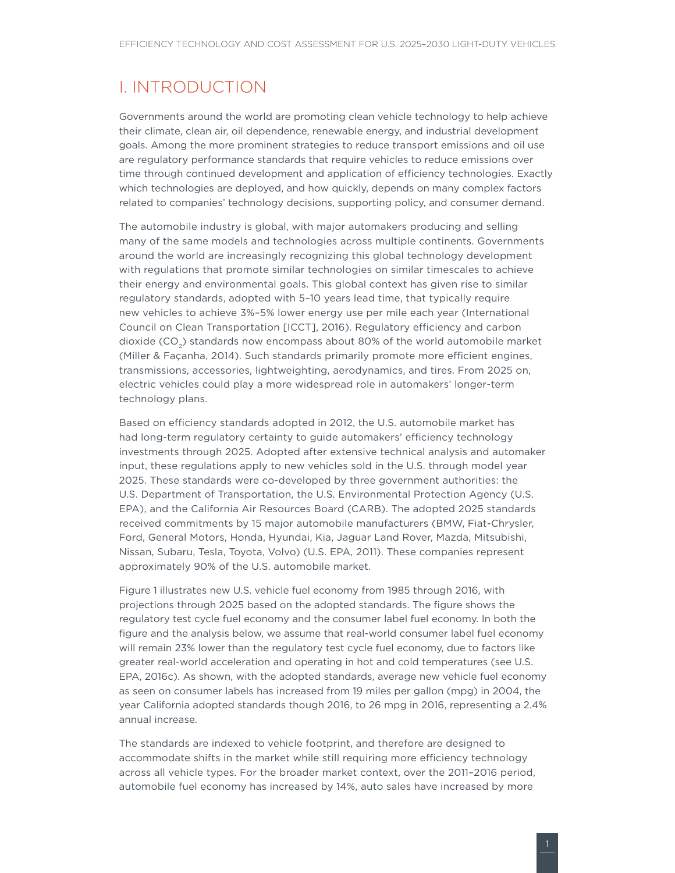### <span id="page-6-0"></span>I. INTRODUCTION

Governments around the world are promoting clean vehicle technology to help achieve their climate, clean air, oil dependence, renewable energy, and industrial development goals. Among the more prominent strategies to reduce transport emissions and oil use are regulatory performance standards that require vehicles to reduce emissions over time through continued development and application of efficiency technologies. Exactly which technologies are deployed, and how quickly, depends on many complex factors related to companies' technology decisions, supporting policy, and consumer demand.

The automobile industry is global, with major automakers producing and selling many of the same models and technologies across multiple continents. Governments around the world are increasingly recognizing this global technology development with regulations that promote similar technologies on similar timescales to achieve their energy and environmental goals. This global context has given rise to similar regulatory standards, adopted with 5–10 years lead time, that typically require new vehicles to achieve 3%–5% lower energy use per mile each year (International Council on Clean Transportation [ICCT], 2016). Regulatory efficiency and carbon dioxide (CO<sub>2</sub>) standards now encompass about 80% of the world automobile market (Miller & Façanha, 2014). Such standards primarily promote more efficient engines, transmissions, accessories, lightweighting, aerodynamics, and tires. From 2025 on, electric vehicles could play a more widespread role in automakers' longer-term technology plans.

Based on efficiency standards adopted in 2012, the U.S. automobile market has had long-term regulatory certainty to guide automakers' efficiency technology investments through 2025. Adopted after extensive technical analysis and automaker input, these regulations apply to new vehicles sold in the U.S. through model year 2025. These standards were co-developed by three government authorities: the U.S. Department of Transportation, the U.S. Environmental Protection Agency (U.S. EPA), and the California Air Resources Board (CARB). The adopted 2025 standards received commitments by 15 major automobile manufacturers (BMW, Fiat-Chrysler, Ford, General Motors, Honda, Hyundai, Kia, Jaguar Land Rover, Mazda, Mitsubishi, Nissan, Subaru, Tesla, Toyota, Volvo) (U.S. EPA, 2011). These companies represent approximately 90% of the U.S. automobile market.

Figure 1 illustrates new U.S. vehicle fuel economy from 1985 through 2016, with projections through 2025 based on the adopted standards. The figure shows the regulatory test cycle fuel economy and the consumer label fuel economy. In both the figure and the analysis below, we assume that real-world consumer label fuel economy will remain 23% lower than the regulatory test cycle fuel economy, due to factors like greater real-world acceleration and operating in hot and cold temperatures (see U.S. EPA, 2016c). As shown, with the adopted standards, average new vehicle fuel economy as seen on consumer labels has increased from 19 miles per gallon (mpg) in 2004, the year California adopted standards though 2016, to 26 mpg in 2016, representing a 2.4% annual increase.

The standards are indexed to vehicle footprint, and therefore are designed to accommodate shifts in the market while still requiring more efficiency technology across all vehicle types. For the broader market context, over the 2011–2016 period, automobile fuel economy has increased by 14%, auto sales have increased by more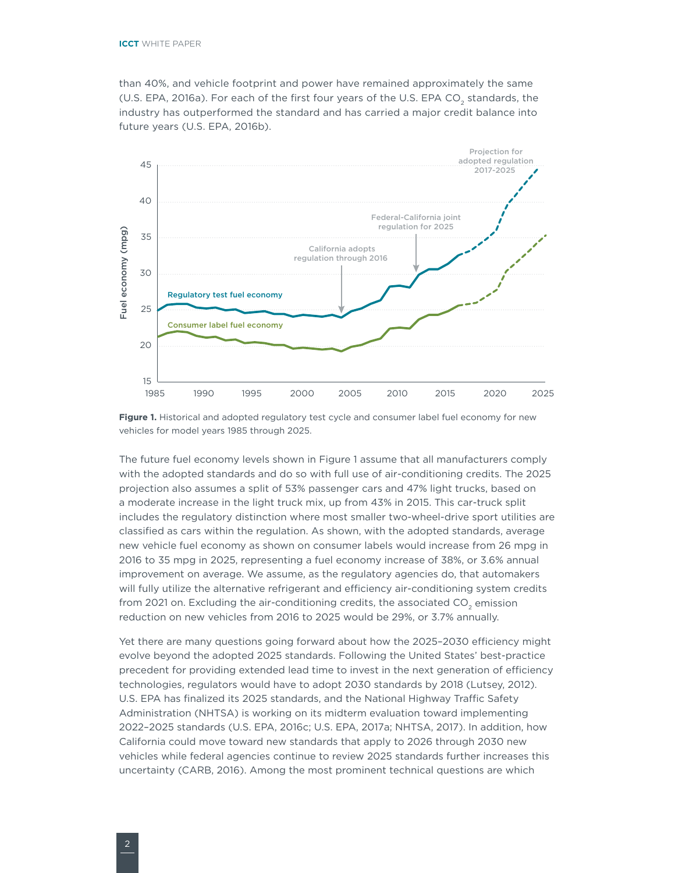<span id="page-7-0"></span>than 40%, and vehicle footprint and power have remained approximately the same (U.S. EPA, 2016a). For each of the first four years of the U.S. EPA CO<sub>2</sub> standards, the industry has outperformed the standard and has carried a major credit balance into future years (U.S. EPA, 2016b).



**Figure 1.** Historical and adopted regulatory test cycle and consumer label fuel economy for new vehicles for model years 1985 through 2025.

The future fuel economy levels shown in Figure 1 assume that all manufacturers comply with the adopted standards and do so with full use of air-conditioning credits. The 2025 projection also assumes a split of 53% passenger cars and 47% light trucks, based on a moderate increase in the light truck mix, up from 43% in 2015. This car-truck split includes the regulatory distinction where most smaller two-wheel-drive sport utilities are classified as cars within the regulation. As shown, with the adopted standards, average new vehicle fuel economy as shown on consumer labels would increase from 26 mpg in 2016 to 35 mpg in 2025, representing a fuel economy increase of 38%, or 3.6% annual improvement on average. We assume, as the regulatory agencies do, that automakers will fully utilize the alternative refrigerant and efficiency air-conditioning system credits from 2021 on. Excluding the air-conditioning credits, the associated  $CO<sub>2</sub>$  emission reduction on new vehicles from 2016 to 2025 would be 29%, or 3.7% annually.

Yet there are many questions going forward about how the 2025–2030 efficiency might evolve beyond the adopted 2025 standards. Following the United States' best-practice precedent for providing extended lead time to invest in the next generation of efficiency technologies, regulators would have to adopt 2030 standards by 2018 (Lutsey, 2012). U.S. EPA has finalized its 2025 standards, and the National Highway Traffic Safety Administration (NHTSA) is working on its midterm evaluation toward implementing 2022–2025 standards (U.S. EPA, 2016c; U.S. EPA, 2017a; NHTSA, 2017). In addition, how California could move toward new standards that apply to 2026 through 2030 new vehicles while federal agencies continue to review 2025 standards further increases this uncertainty (CARB, 2016). Among the most prominent technical questions are which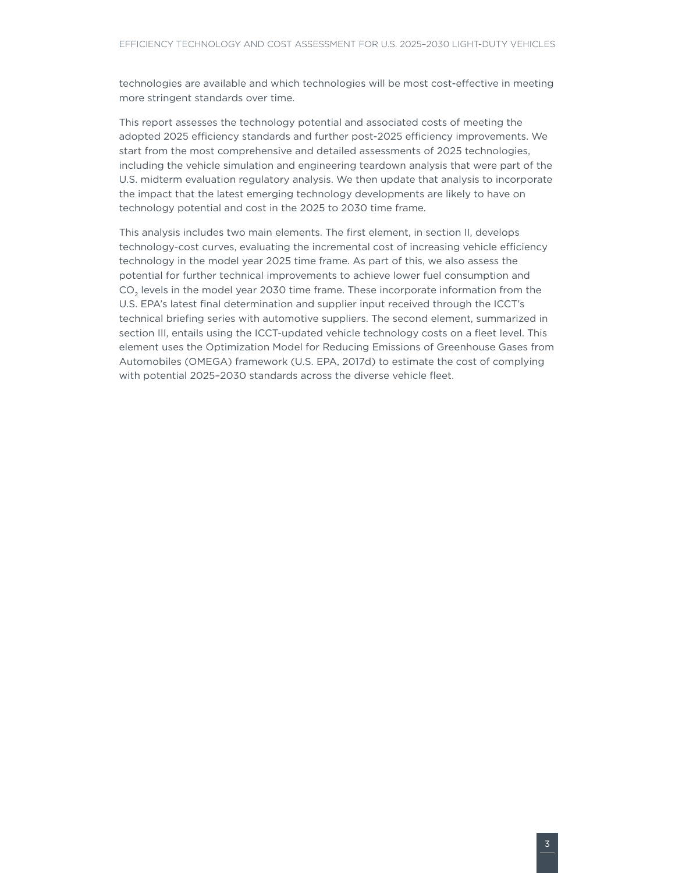technologies are available and which technologies will be most cost-effective in meeting more stringent standards over time.

This report assesses the technology potential and associated costs of meeting the adopted 2025 efficiency standards and further post-2025 efficiency improvements. We start from the most comprehensive and detailed assessments of 2025 technologies, including the vehicle simulation and engineering teardown analysis that were part of the U.S. midterm evaluation regulatory analysis. We then update that analysis to incorporate the impact that the latest emerging technology developments are likely to have on technology potential and cost in the 2025 to 2030 time frame.

This analysis includes two main elements. The first element, in section II, develops technology-cost curves, evaluating the incremental cost of increasing vehicle efficiency technology in the model year 2025 time frame. As part of this, we also assess the potential for further technical improvements to achieve lower fuel consumption and CO<sub>2</sub> levels in the model year 2030 time frame. These incorporate information from the U.S. EPA's latest final determination and supplier input received through the ICCT's technical briefing series with automotive suppliers. The second element, summarized in section III, entails using the ICCT-updated vehicle technology costs on a fleet level. This element uses the Optimization Model for Reducing Emissions of Greenhouse Gases from Automobiles (OMEGA) framework (U.S. EPA, 2017d) to estimate the cost of complying with potential 2025–2030 standards across the diverse vehicle fleet.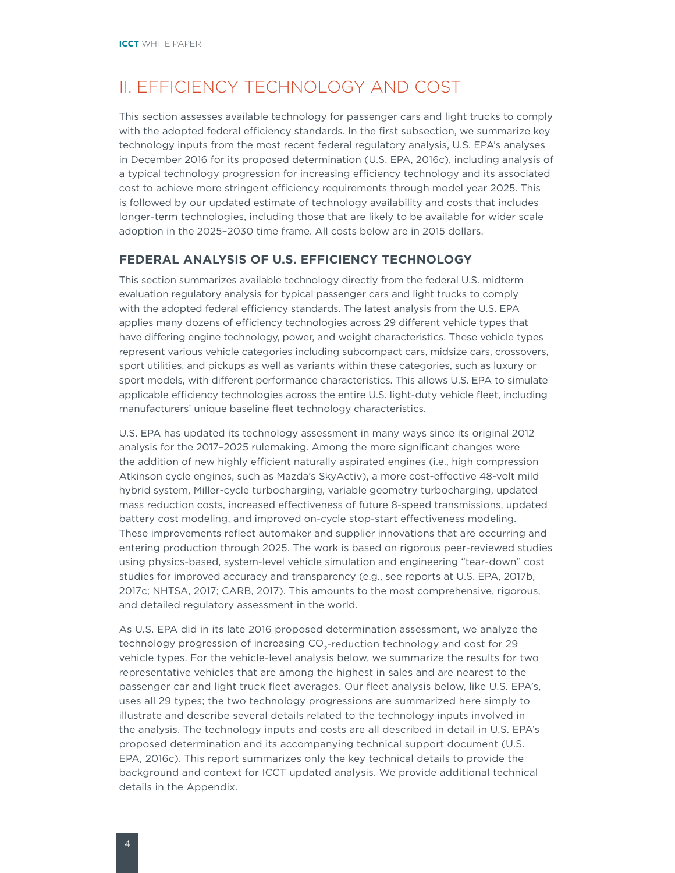## <span id="page-9-0"></span>II. EFFICIENCY TECHNOLOGY AND COST

This section assesses available technology for passenger cars and light trucks to comply with the adopted federal efficiency standards. In the first subsection, we summarize key technology inputs from the most recent federal regulatory analysis, U.S. EPA's analyses in December 2016 for its proposed determination (U.S. EPA, 2016c), including analysis of a typical technology progression for increasing efficiency technology and its associated cost to achieve more stringent efficiency requirements through model year 2025. This is followed by our updated estimate of technology availability and costs that includes longer-term technologies, including those that are likely to be available for wider scale adoption in the 2025–2030 time frame. All costs below are in 2015 dollars.

#### **FEDERAL ANALYSIS OF U.S. EFFICIENCY TECHNOLOGY**

This section summarizes available technology directly from the federal U.S. midterm evaluation regulatory analysis for typical passenger cars and light trucks to comply with the adopted federal efficiency standards. The latest analysis from the U.S. EPA applies many dozens of efficiency technologies across 29 different vehicle types that have differing engine technology, power, and weight characteristics. These vehicle types represent various vehicle categories including subcompact cars, midsize cars, crossovers, sport utilities, and pickups as well as variants within these categories, such as luxury or sport models, with different performance characteristics. This allows U.S. EPA to simulate applicable efficiency technologies across the entire U.S. light-duty vehicle fleet, including manufacturers' unique baseline fleet technology characteristics.

U.S. EPA has updated its technology assessment in many ways since its original 2012 analysis for the 2017–2025 rulemaking. Among the more significant changes were the addition of new highly efficient naturally aspirated engines (i.e., high compression Atkinson cycle engines, such as Mazda's SkyActiv), a more cost-effective 48-volt mild hybrid system, Miller-cycle turbocharging, variable geometry turbocharging, updated mass reduction costs, increased effectiveness of future 8-speed transmissions, updated battery cost modeling, and improved on-cycle stop-start effectiveness modeling. These improvements reflect automaker and supplier innovations that are occurring and entering production through 2025. The work is based on rigorous peer-reviewed studies using physics-based, system-level vehicle simulation and engineering "tear-down" cost studies for improved accuracy and transparency (e.g., see reports at U.S. EPA, 2017b, 2017c; NHTSA, 2017; CARB, 2017). This amounts to the most comprehensive, rigorous, and detailed regulatory assessment in the world.

As U.S. EPA did in its late 2016 proposed determination assessment, we analyze the technology progression of increasing CO<sub>2</sub>-reduction technology and cost for 29 vehicle types. For the vehicle-level analysis below, we summarize the results for two representative vehicles that are among the highest in sales and are nearest to the passenger car and light truck fleet averages. Our fleet analysis below, like U.S. EPA's, uses all 29 types; the two technology progressions are summarized here simply to illustrate and describe several details related to the technology inputs involved in the analysis. The technology inputs and costs are all described in detail in U.S. EPA's proposed determination and its accompanying technical support document (U.S. EPA, 2016c). This report summarizes only the key technical details to provide the background and context for ICCT updated analysis. We provide additional technical details in the Appendix.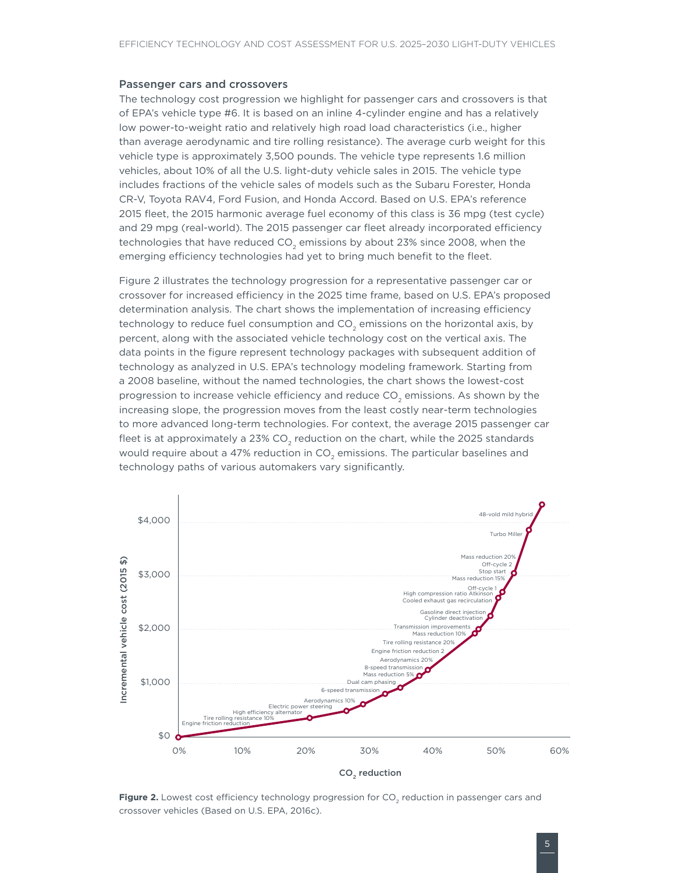#### <span id="page-10-0"></span>Passenger cars and crossovers

The technology cost progression we highlight for passenger cars and crossovers is that of EPA's vehicle type #6. It is based on an inline 4-cylinder engine and has a relatively low power-to-weight ratio and relatively high road load characteristics (i.e., higher than average aerodynamic and tire rolling resistance). The average curb weight for this vehicle type is approximately 3,500 pounds. The vehicle type represents 1.6 million vehicles, about 10% of all the U.S. light-duty vehicle sales in 2015. The vehicle type includes fractions of the vehicle sales of models such as the Subaru Forester, Honda CR-V, Toyota RAV4, Ford Fusion, and Honda Accord. Based on U.S. EPA's reference 2015 fleet, the 2015 harmonic average fuel economy of this class is 36 mpg (test cycle) and 29 mpg (real-world). The 2015 passenger car fleet already incorporated efficiency technologies that have reduced  $CO<sub>2</sub>$  emissions by about 23% since 2008, when the emerging efficiency technologies had yet to bring much benefit to the fleet.

[Figure](#page-10-1) 2 illustrates the technology progression for a representative passenger car or crossover for increased efficiency in the 2025 time frame, based on U.S. EPA's proposed determination analysis. The chart shows the implementation of increasing efficiency technology to reduce fuel consumption and CO<sub>2</sub> emissions on the horizontal axis, by percent, along with the associated vehicle technology cost on the vertical axis. The data points in the figure represent technology packages with subsequent addition of technology as analyzed in U.S. EPA's technology modeling framework. Starting from a 2008 baseline, without the named technologies, the chart shows the lowest-cost progression to increase vehicle efficiency and reduce CO<sub>2</sub> emissions. As shown by the increasing slope, the progression moves from the least costly near-term technologies to more advanced long-term technologies. For context, the average 2015 passenger car fleet is at approximately a 23% CO<sub>2</sub> reduction on the chart, while the 2025 standards would require about a 47% reduction in CO<sub>2</sub> emissions. The particular baselines and technology paths of various automakers vary significantly.



<span id="page-10-1"></span>**Figure 2.** Lowest cost efficiency technology progression for CO<sub>2</sub> reduction in passenger cars and crossover vehicles (Based on U.S. EPA, 2016c).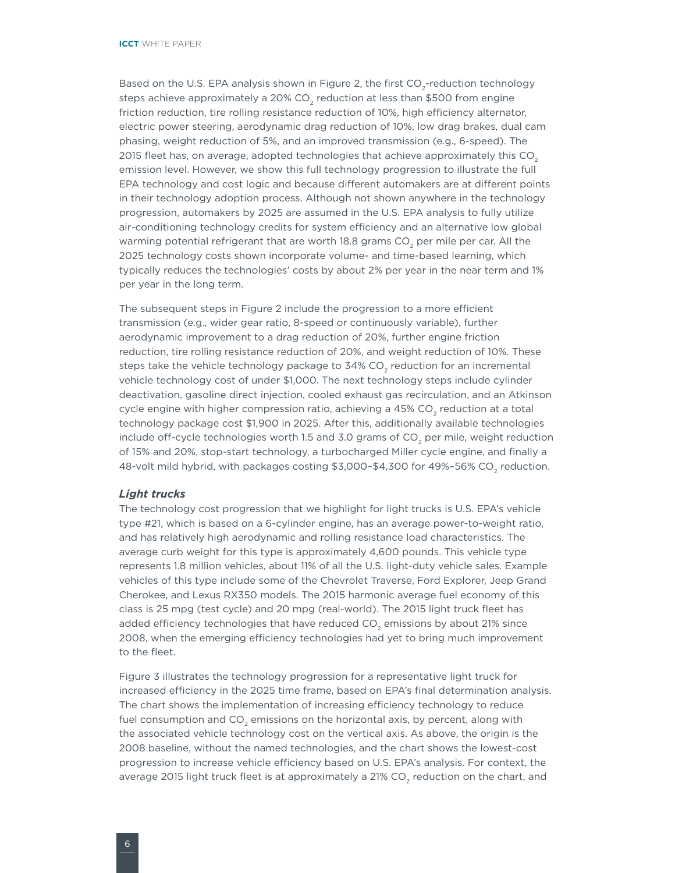<span id="page-11-0"></span>Based on the U.S. EPA analysis shown in [Figure](#page-10-1) 2, the first  $CO_2$ -reduction technology steps achieve approximately a 20%  $CO<sub>2</sub>$  reduction at less than \$500 from engine friction reduction, tire rolling resistance reduction of 10%, high efficiency alternator, electric power steering, aerodynamic drag reduction of 10%, low drag brakes, dual cam phasing, weight reduction of 5%, and an improved transmission (e.g., 6-speed). The 2015 fleet has, on average, adopted technologies that achieve approximately this  $CO<sub>2</sub>$ emission level. However, we show this full technology progression to illustrate the full EPA technology and cost logic and because different automakers are at different points in their technology adoption process. Although not shown anywhere in the technology progression, automakers by 2025 are assumed in the U.S. EPA analysis to fully utilize air-conditioning technology credits for system efficiency and an alternative low global warming potential refrigerant that are worth 18.8 grams CO<sub>2</sub> per mile per car. All the 2025 technology costs shown incorporate volume- and time-based learning, which typically reduces the technologies' costs by about 2% per year in the near term and 1% per year in the long term.

The subsequent steps in [Figure](#page-10-1) 2 include the progression to a more efficient transmission (e.g., wider gear ratio, 8-speed or continuously variable), further aerodynamic improvement to a drag reduction of 20%, further engine friction reduction, tire rolling resistance reduction of 20%, and weight reduction of 10%. These steps take the vehicle technology package to 34% CO<sub>2</sub> reduction for an incremental vehicle technology cost of under \$1,000. The next technology steps include cylinder deactivation, gasoline direct injection, cooled exhaust gas recirculation, and an Atkinson cycle engine with higher compression ratio, achieving a 45% CO<sub>2</sub> reduction at a total technology package cost \$1,900 in 2025. After this, additionally available technologies include off-cycle technologies worth 1.5 and 3.0 grams of  $CO<sub>2</sub>$  per mile, weight reduction of 15% and 20%, stop-start technology, a turbocharged Miller cycle engine, and finally a 48-volt mild hybrid, with packages costing \$3,000-\$4,300 for 49%-56% CO<sub>2</sub> reduction.

#### *Light trucks*

The technology cost progression that we highlight for light trucks is U.S. EPA's vehicle type #21, which is based on a 6-cylinder engine, has an average power-to-weight ratio, and has relatively high aerodynamic and rolling resistance load characteristics. The average curb weight for this type is approximately 4,600 pounds. This vehicle type represents 1.8 million vehicles, about 11% of all the U.S. light-duty vehicle sales. Example vehicles of this type include some of the Chevrolet Traverse, Ford Explorer, Jeep Grand Cherokee, and Lexus RX350 models. The 2015 harmonic average fuel economy of this class is 25 mpg (test cycle) and 20 mpg (real-world). The 2015 light truck fleet has added efficiency technologies that have reduced  $CO<sub>2</sub>$  emissions by about 21% since 2008, when the emerging efficiency technologies had yet to bring much improvement to the fleet.

[Figure](#page-12-1) 3 illustrates the technology progression for a representative light truck for increased efficiency in the 2025 time frame, based on EPA's final determination analysis. The chart shows the implementation of increasing efficiency technology to reduce fuel consumption and CO<sub>2</sub> emissions on the horizontal axis, by percent, along with the associated vehicle technology cost on the vertical axis. As above, the origin is the 2008 baseline, without the named technologies, and the chart shows the lowest-cost progression to increase vehicle efficiency based on U.S. EPA's analysis. For context, the average 2015 light truck fleet is at approximately a 21% CO<sub>2</sub> reduction on the chart, and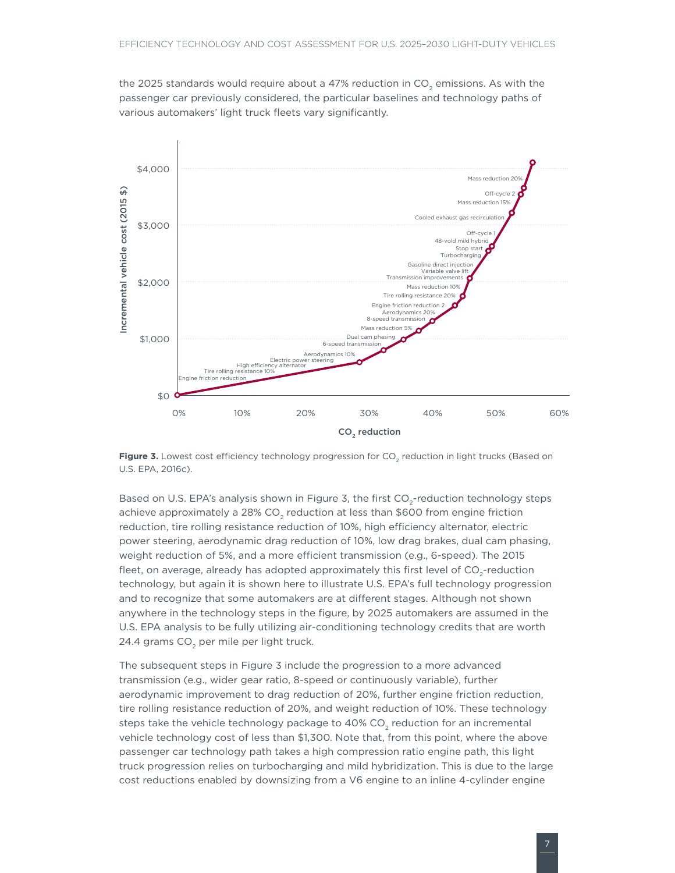<span id="page-12-0"></span>the 2025 standards would require about a 47% reduction in CO<sub>2</sub> emissions. As with the passenger car previously considered, the particular baselines and technology paths of various automakers' light truck fleets vary significantly.



<span id="page-12-1"></span>Figure 3. Lowest cost efficiency technology progression for CO<sub>2</sub> reduction in light trucks (Based on U.S. EPA, 2016c).

Based on U.S. EPA's analysis shown in [Figure 3](#page-12-1), the first CO<sub>2</sub>-reduction technology steps achieve approximately a 28% CO<sub>2</sub> reduction at less than \$600 from engine friction reduction, tire rolling resistance reduction of 10%, high efficiency alternator, electric power steering, aerodynamic drag reduction of 10%, low drag brakes, dual cam phasing, weight reduction of 5%, and a more efficient transmission (e.g., 6-speed). The 2015 fleet, on average, already has adopted approximately this first level of  $CO<sub>2</sub>$ -reduction technology, but again it is shown here to illustrate U.S. EPA's full technology progression and to recognize that some automakers are at different stages. Although not shown anywhere in the technology steps in the figure, by 2025 automakers are assumed in the U.S. EPA analysis to be fully utilizing air-conditioning technology credits that are worth 24.4 grams CO<sub>2</sub> per mile per light truck.

The subsequent steps in [Figure](#page-12-1) 3 include the progression to a more advanced transmission (e.g., wider gear ratio, 8-speed or continuously variable), further aerodynamic improvement to drag reduction of 20%, further engine friction reduction, tire rolling resistance reduction of 20%, and weight reduction of 10%. These technology steps take the vehicle technology package to 40% CO<sub>2</sub> reduction for an incremental vehicle technology cost of less than \$1,300. Note that, from this point, where the above passenger car technology path takes a high compression ratio engine path, this light truck progression relies on turbocharging and mild hybridization. This is due to the large cost reductions enabled by downsizing from a V6 engine to an inline 4-cylinder engine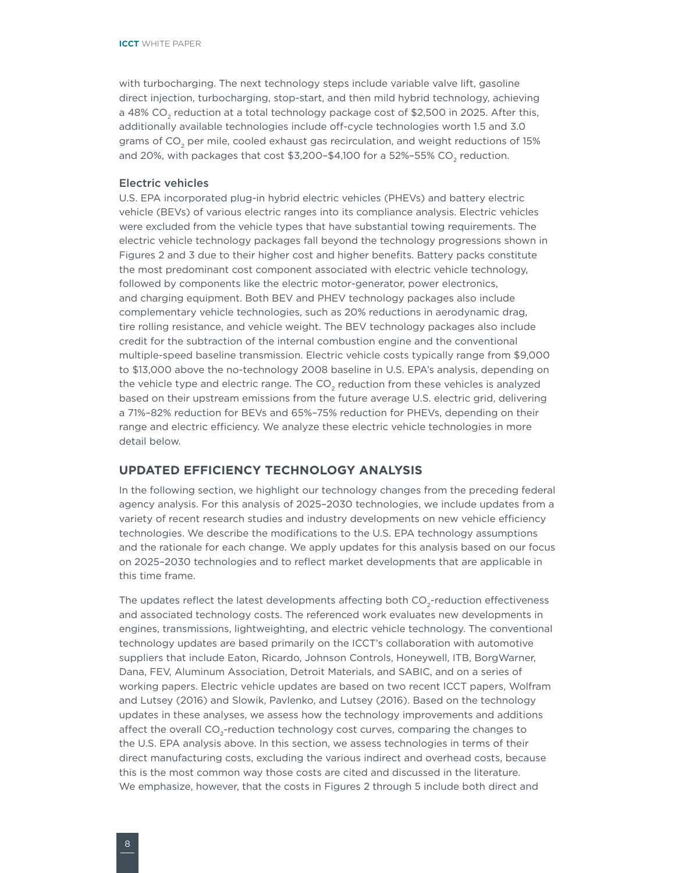<span id="page-13-0"></span>with turbocharging. The next technology steps include variable valve lift, gasoline direct injection, turbocharging, stop-start, and then mild hybrid technology, achieving a 48% CO<sub>2</sub> reduction at a total technology package cost of \$2,500 in 2025. After this, additionally available technologies include off-cycle technologies worth 1.5 and 3.0 grams of CO<sub>2</sub> per mile, cooled exhaust gas recirculation, and weight reductions of 15% and 20%, with packages that cost  $$3,200-$4,100$  for a  $52\%$ -55% CO<sub>2</sub> reduction.

#### Electric vehicles

U.S. EPA incorporated plug-in hybrid electric vehicles (PHEVs) and battery electric vehicle (BEVs) of various electric ranges into its compliance analysis. Electric vehicles were excluded from the vehicle types that have substantial towing requirements. The electric vehicle technology packages fall beyond the technology progressions shown in Figures 2 and 3 due to their higher cost and higher benefits. Battery packs constitute the most predominant cost component associated with electric vehicle technology, followed by components like the electric motor-generator, power electronics, and charging equipment. Both BEV and PHEV technology packages also include complementary vehicle technologies, such as 20% reductions in aerodynamic drag, tire rolling resistance, and vehicle weight. The BEV technology packages also include credit for the subtraction of the internal combustion engine and the conventional multiple-speed baseline transmission. Electric vehicle costs typically range from \$9,000 to \$13,000 above the no-technology 2008 baseline in U.S. EPA's analysis, depending on the vehicle type and electric range. The CO<sub>2</sub> reduction from these vehicles is analyzed based on their upstream emissions from the future average U.S. electric grid, delivering a 71%–82% reduction for BEVs and 65%–75% reduction for PHEVs, depending on their range and electric efficiency. We analyze these electric vehicle technologies in more detail below.

#### **UPDATED EFFICIENCY TECHNOLOGY ANALYSIS**

In the following section, we highlight our technology changes from the preceding federal agency analysis. For this analysis of 2025–2030 technologies, we include updates from a variety of recent research studies and industry developments on new vehicle efficiency technologies. We describe the modifications to the U.S. EPA technology assumptions and the rationale for each change. We apply updates for this analysis based on our focus on 2025–2030 technologies and to reflect market developments that are applicable in this time frame.

The updates reflect the latest developments affecting both CO<sub>2</sub>-reduction effectiveness and associated technology costs. The referenced work evaluates new developments in engines, transmissions, lightweighting, and electric vehicle technology. The conventional technology updates are based primarily on the ICCT's collaboration with automotive suppliers that include Eaton, Ricardo, Johnson Controls, Honeywell, ITB, BorgWarner, Dana, FEV, Aluminum Association, Detroit Materials, and SABIC, and on a series of working papers. Electric vehicle updates are based on two recent ICCT papers, Wolfram and Lutsey (2016) and Slowik, Pavlenko, and Lutsey (2016). Based on the technology updates in these analyses, we assess how the technology improvements and additions affect the overall CO<sub>2</sub>-reduction technology cost curves, comparing the changes to the U.S. EPA analysis above. In this section, we assess technologies in terms of their direct manufacturing costs, excluding the various indirect and overhead costs, because this is the most common way those costs are cited and discussed in the literature. We emphasize, however, that the costs in Figures 2 through 5 include both direct and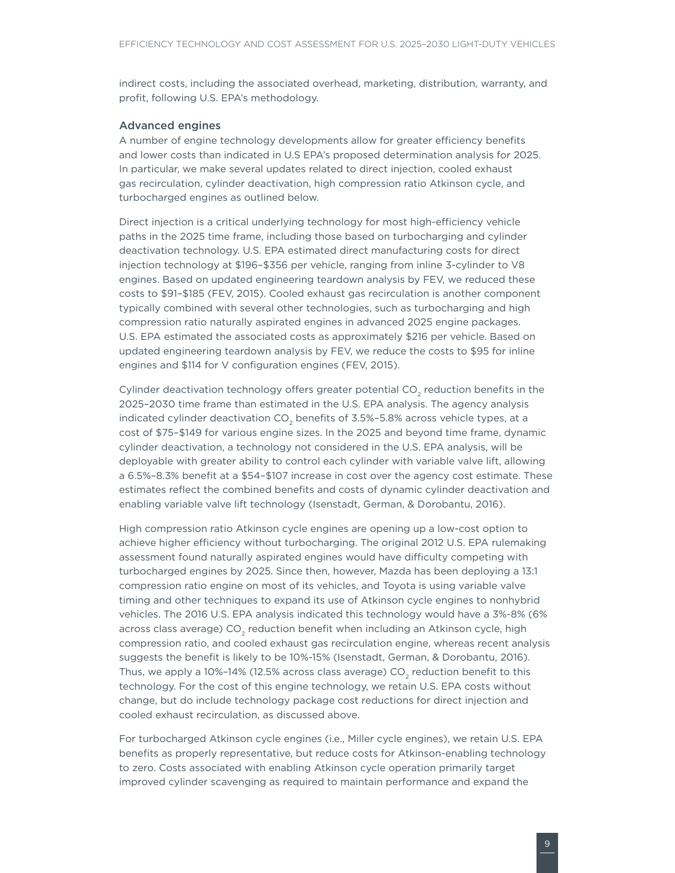<span id="page-14-0"></span>indirect costs, including the associated overhead, marketing, distribution, warranty, and profit, following U.S. EPA's methodology.

#### Advanced engines

A number of engine technology developments allow for greater efficiency benefits and lower costs than indicated in U.S EPA's proposed determination analysis for 2025. In particular, we make several updates related to direct injection, cooled exhaust gas recirculation, cylinder deactivation, high compression ratio Atkinson cycle, and turbocharged engines as outlined below.

Direct injection is a critical underlying technology for most high-efficiency vehicle paths in the 2025 time frame, including those based on turbocharging and cylinder deactivation technology. U.S. EPA estimated direct manufacturing costs for direct injection technology at \$196–\$356 per vehicle, ranging from inline 3-cylinder to V8 engines. Based on updated engineering teardown analysis by FEV, we reduced these costs to \$91–\$185 (FEV, 2015). Cooled exhaust gas recirculation is another component typically combined with several other technologies, such as turbocharging and high compression ratio naturally aspirated engines in advanced 2025 engine packages. U.S. EPA estimated the associated costs as approximately \$216 per vehicle. Based on updated engineering teardown analysis by FEV, we reduce the costs to \$95 for inline engines and \$114 for V configuration engines (FEV, 2015).

Cylinder deactivation technology offers greater potential CO<sub>2</sub> reduction benefits in the 2025–2030 time frame than estimated in the U.S. EPA analysis. The agency analysis indicated cylinder deactivation  $CO<sub>2</sub>$  benefits of 3.5%-5.8% across vehicle types, at a cost of \$75–\$149 for various engine sizes. In the 2025 and beyond time frame, dynamic cylinder deactivation, a technology not considered in the U.S. EPA analysis, will be deployable with greater ability to control each cylinder with variable valve lift, allowing a 6.5%–8.3% benefit at a \$54–\$107 increase in cost over the agency cost estimate. These estimates reflect the combined benefits and costs of dynamic cylinder deactivation and enabling variable valve lift technology (Isenstadt, German, & Dorobantu, 2016).

High compression ratio Atkinson cycle engines are opening up a low-cost option to achieve higher efficiency without turbocharging. The original 2012 U.S. EPA rulemaking assessment found naturally aspirated engines would have difficulty competing with turbocharged engines by 2025. Since then, however, Mazda has been deploying a 13:1 compression ratio engine on most of its vehicles, and Toyota is using variable valve timing and other techniques to expand its use of Atkinson cycle engines to nonhybrid vehicles. The 2016 U.S. EPA analysis indicated this technology would have a 3%-8% (6% across class average) CO<sub>2</sub> reduction benefit when including an Atkinson cycle, high compression ratio, and cooled exhaust gas recirculation engine, whereas recent analysis suggests the benefit is likely to be 10%-15% (Isenstadt, German, & Dorobantu, 2016). Thus, we apply a  $10\%$ -14% (12.5% across class average) CO<sub>2</sub> reduction benefit to this technology. For the cost of this engine technology, we retain U.S. EPA costs without change, but do include technology package cost reductions for direct injection and cooled exhaust recirculation, as discussed above.

For turbocharged Atkinson cycle engines (i.e., Miller cycle engines), we retain U.S. EPA benefits as properly representative, but reduce costs for Atkinson-enabling technology to zero. Costs associated with enabling Atkinson cycle operation primarily target improved cylinder scavenging as required to maintain performance and expand the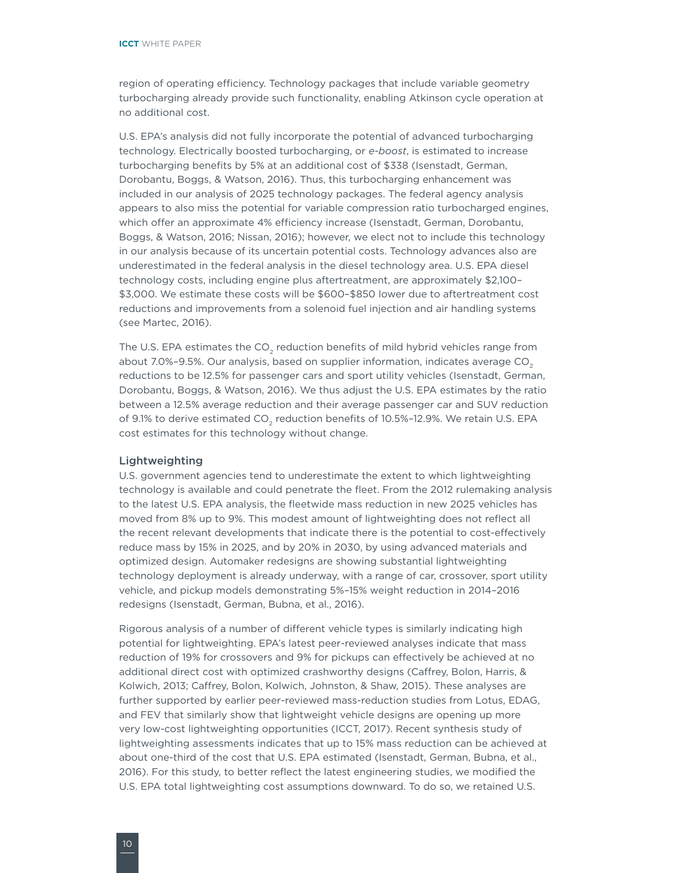<span id="page-15-0"></span>region of operating efficiency. Technology packages that include variable geometry turbocharging already provide such functionality, enabling Atkinson cycle operation at no additional cost.

U.S. EPA's analysis did not fully incorporate the potential of advanced turbocharging technology. Electrically boosted turbocharging, or *e-boost*, is estimated to increase turbocharging benefits by 5% at an additional cost of \$338 (Isenstadt, German, Dorobantu, Boggs, & Watson, 2016). Thus, this turbocharging enhancement was included in our analysis of 2025 technology packages. The federal agency analysis appears to also miss the potential for variable compression ratio turbocharged engines, which offer an approximate 4% efficiency increase (Isenstadt, German, Dorobantu, Boggs, & Watson, 2016; Nissan, 2016); however, we elect not to include this technology in our analysis because of its uncertain potential costs. Technology advances also are underestimated in the federal analysis in the diesel technology area. U.S. EPA diesel technology costs, including engine plus aftertreatment, are approximately \$2,100– \$3,000. We estimate these costs will be \$600–\$850 lower due to aftertreatment cost reductions and improvements from a solenoid fuel injection and air handling systems (see Martec, 2016).

The U.S. EPA estimates the CO<sub>2</sub> reduction benefits of mild hybrid vehicles range from about 7.0%-9.5%. Our analysis, based on supplier information, indicates average  $CO<sub>2</sub>$ reductions to be 12.5% for passenger cars and sport utility vehicles (Isenstadt, German, Dorobantu, Boggs, & Watson, 2016). We thus adjust the U.S. EPA estimates by the ratio between a 12.5% average reduction and their average passenger car and SUV reduction of 9.1% to derive estimated CO<sub>2</sub> reduction benefits of 10.5%-12.9%. We retain U.S. EPA cost estimates for this technology without change.

#### Lightweighting

U.S. government agencies tend to underestimate the extent to which lightweighting technology is available and could penetrate the fleet. From the 2012 rulemaking analysis to the latest U.S. EPA analysis, the fleetwide mass reduction in new 2025 vehicles has moved from 8% up to 9%. This modest amount of lightweighting does not reflect all the recent relevant developments that indicate there is the potential to cost-effectively reduce mass by 15% in 2025, and by 20% in 2030, by using advanced materials and optimized design. Automaker redesigns are showing substantial lightweighting technology deployment is already underway, with a range of car, crossover, sport utility vehicle, and pickup models demonstrating 5%–15% weight reduction in 2014–2016 redesigns (Isenstadt, German, Bubna, et al., 2016).

Rigorous analysis of a number of different vehicle types is similarly indicating high potential for lightweighting. EPA's latest peer-reviewed analyses indicate that mass reduction of 19% for crossovers and 9% for pickups can effectively be achieved at no additional direct cost with optimized crashworthy designs (Caffrey, Bolon, Harris, & Kolwich, 2013; Caffrey, Bolon, Kolwich, Johnston, & Shaw, 2015). These analyses are further supported by earlier peer-reviewed mass-reduction studies from Lotus, EDAG, and FEV that similarly show that lightweight vehicle designs are opening up more very low-cost lightweighting opportunities (ICCT, 2017). Recent synthesis study of lightweighting assessments indicates that up to 15% mass reduction can be achieved at about one-third of the cost that U.S. EPA estimated (Isenstadt, German, Bubna, et al., 2016). For this study, to better reflect the latest engineering studies, we modified the U.S. EPA total lightweighting cost assumptions downward. To do so, we retained U.S.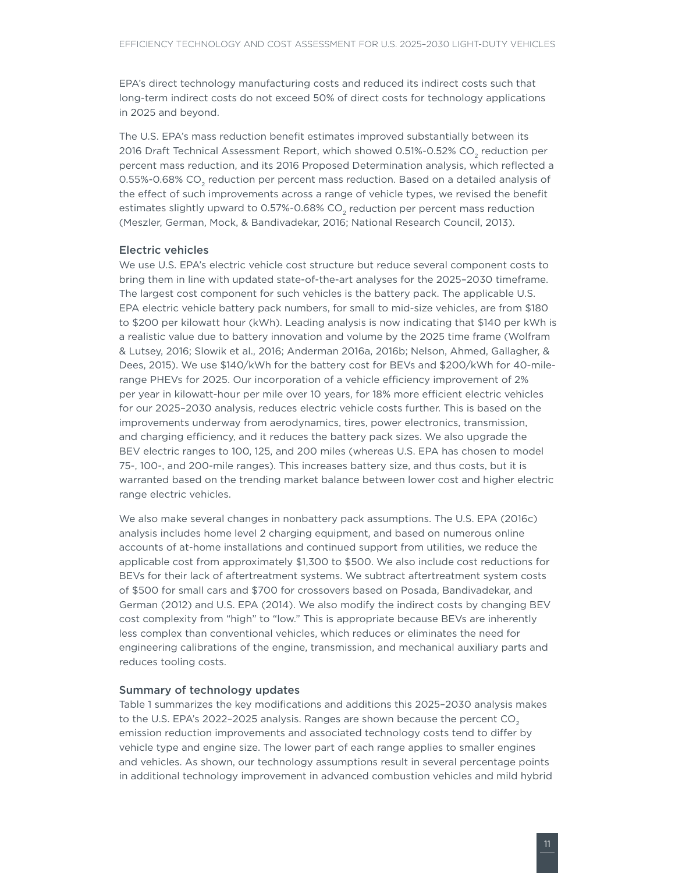<span id="page-16-0"></span>EPA's direct technology manufacturing costs and reduced its indirect costs such that long-term indirect costs do not exceed 50% of direct costs for technology applications in 2025 and beyond.

The U.S. EPA's mass reduction benefit estimates improved substantially between its 2016 Draft Technical Assessment Report, which showed 0.51%-0.52% CO<sub>2</sub> reduction per percent mass reduction, and its 2016 Proposed Determination analysis, which reflected a 0.55%-0.68% CO<sub>2</sub> reduction per percent mass reduction. Based on a detailed analysis of the effect of such improvements across a range of vehicle types, we revised the benefit estimates slightly upward to 0.57%-0.68%  $CO<sub>2</sub>$  reduction per percent mass reduction (Meszler, German, Mock, & Bandivadekar, 2016; National Research Council, 2013).

#### Electric vehicles

We use U.S. EPA's electric vehicle cost structure but reduce several component costs to bring them in line with updated state-of-the-art analyses for the 2025–2030 timeframe. The largest cost component for such vehicles is the battery pack. The applicable U.S. EPA electric vehicle battery pack numbers, for small to mid-size vehicles, are from \$180 to \$200 per kilowatt hour (kWh). Leading analysis is now indicating that \$140 per kWh is a realistic value due to battery innovation and volume by the 2025 time frame (Wolfram & Lutsey, 2016; Slowik et al., 2016; Anderman 2016a, 2016b; Nelson, Ahmed, Gallagher, & Dees, 2015). We use \$140/kWh for the battery cost for BEVs and \$200/kWh for 40-milerange PHEVs for 2025. Our incorporation of a vehicle efficiency improvement of 2% per year in kilowatt-hour per mile over 10 years, for 18% more efficient electric vehicles for our 2025–2030 analysis, reduces electric vehicle costs further. This is based on the improvements underway from aerodynamics, tires, power electronics, transmission, and charging efficiency, and it reduces the battery pack sizes. We also upgrade the BEV electric ranges to 100, 125, and 200 miles (whereas U.S. EPA has chosen to model 75-, 100-, and 200-mile ranges). This increases battery size, and thus costs, but it is warranted based on the trending market balance between lower cost and higher electric range electric vehicles.

We also make several changes in nonbattery pack assumptions. The U.S. EPA (2016c) analysis includes home level 2 charging equipment, and based on numerous online accounts of at-home installations and continued support from utilities, we reduce the applicable cost from approximately \$1,300 to \$500. We also include cost reductions for BEVs for their lack of aftertreatment systems. We subtract aftertreatment system costs of \$500 for small cars and \$700 for crossovers based on Posada, Bandivadekar, and German (2012) and U.S. EPA (2014). We also modify the indirect costs by changing BEV cost complexity from "high" to "low." This is appropriate because BEVs are inherently less complex than conventional vehicles, which reduces or eliminates the need for engineering calibrations of the engine, transmission, and mechanical auxiliary parts and reduces tooling costs.

#### Summary of technology updates

[Table](#page-17-1) 1 summarizes the key modifications and additions this 2025–2030 analysis makes to the U.S. EPA's 2022-2025 analysis. Ranges are shown because the percent  $CO<sub>2</sub>$ emission reduction improvements and associated technology costs tend to differ by vehicle type and engine size. The lower part of each range applies to smaller engines and vehicles. As shown, our technology assumptions result in several percentage points in additional technology improvement in advanced combustion vehicles and mild hybrid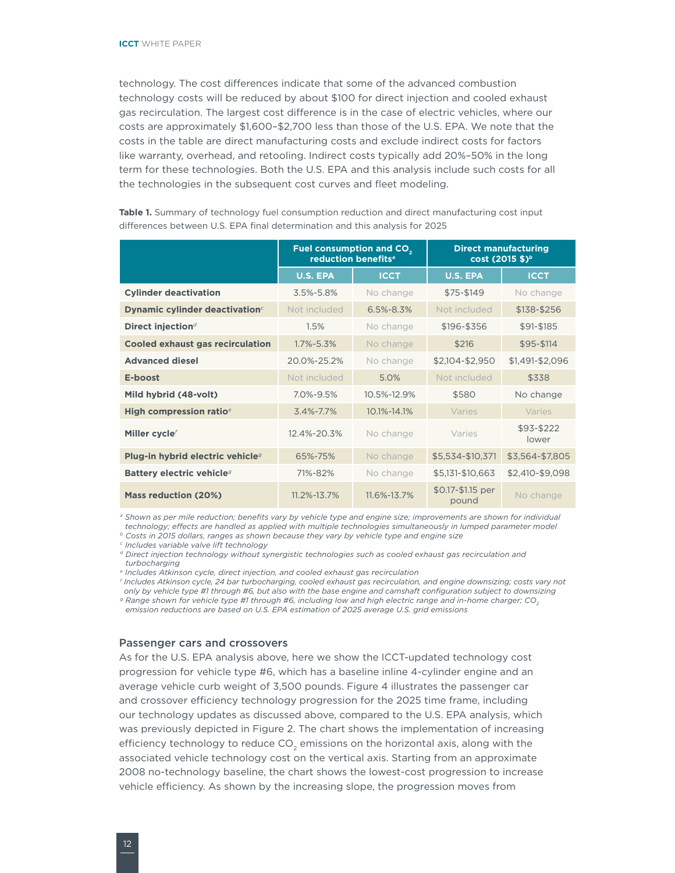<span id="page-17-0"></span>technology. The cost differences indicate that some of the advanced combustion technology costs will be reduced by about \$100 for direct injection and cooled exhaust gas recirculation. The largest cost difference is in the case of electric vehicles, where our costs are approximately \$1,600–\$2,700 less than those of the U.S. EPA. We note that the costs in the table are direct manufacturing costs and exclude indirect costs for factors like warranty, overhead, and retooling. Indirect costs typically add 20%–50% in the long term for these technologies. Both the U.S. EPA and this analysis include such costs for all the technologies in the subsequent cost curves and fleet modeling.

|                                              | Fuel consumption and CO <sub>2</sub><br>reduction benefits <sup>a</sup> |                 | <b>Direct manufacturing</b> | cost (2015 \$) <sup>b</sup> |
|----------------------------------------------|-------------------------------------------------------------------------|-----------------|-----------------------------|-----------------------------|
|                                              | <b>U.S. EPA</b>                                                         | <b>ICCT</b>     | <b>U.S. EPA</b>             | <b>ICCT</b>                 |
| <b>Cylinder deactivation</b>                 | $3.5\% - 5.8\%$                                                         | No change       | \$75-\$149                  | No change                   |
| Dynamic cylinder deactivation <sup>c</sup>   | Not included                                                            | $6.5\% - 8.3\%$ | Not included                | \$138-\$256                 |
| Direct injection <sup>d</sup>                | 1.5%                                                                    | No change       | \$196-\$356                 | \$91-\$185                  |
| <b>Cooled exhaust gas recirculation</b>      | $1.7\% - 5.3\%$                                                         | No change       | \$216                       | \$95-\$114                  |
| <b>Advanced diesel</b>                       | 20.0%-25.2%                                                             | No change       | \$2,104-\$2,950             | \$1,491-\$2,096             |
| E-boost                                      | Not included                                                            | 5.0%            | Not included                | \$338                       |
| Mild hybrid (48-volt)                        | $7.0\% - 9.5\%$                                                         | 10.5%-12.9%     | \$580                       | No change                   |
| High compression ratio <sup>e</sup>          | $3.4\% - 7.7\%$                                                         | 10.1%-14.1%     | Varies                      | Varies                      |
| Miller cycle <sup>f</sup>                    | 12.4%-20.3%                                                             | No change       | Varies                      | \$93-\$222<br>lower         |
| Plug-in hybrid electric vehicle <sup>9</sup> | 65%-75%                                                                 | No change       | \$5,534-\$10,371            | \$3,564-\$7,805             |
| Battery electric vehicle <sup>9</sup>        | 71%-82%                                                                 | No change       | \$5,131-\$10,663            | \$2,410-\$9,098             |
| <b>Mass reduction (20%)</b>                  | 11.2%-13.7%                                                             | 11.6%-13.7%     | \$0.17-\$1.15 per<br>pound  | No change                   |

<span id="page-17-1"></span>**Table 1.** Summary of technology fuel consumption reduction and direct manufacturing cost input differences between U.S. EPA final determination and this analysis for 2025

*<sup>a</sup> Shown as per mile reduction; benefits vary by vehicle type and engine size; improvements are shown for individual technology; effects are handled as applied with multiple technologies simultaneously in lumped parameter model*

*b Costs in 2015 dollars, ranges as shown because they vary by vehicle type and engine size*

*c Includes variable valve lift technology*

*<sup>d</sup> Direct injection technology without synergistic technologies such as cooled exhaust gas recirculation and turbocharging*

*e Includes Atkinson cycle, direct injection, and cooled exhaust gas recirculation*

*<sup>f</sup> Includes Atkinson cycle, 24 bar turbocharging, cooled exhaust gas recirculation, and engine downsizing; costs vary not only by vehicle type #1 through #6, but also with the base engine and camshaft configuration subject to downsizing g* Range shown for vehicle type #1 through #6, including low and high electric range and in-home charger; CO<sub>2</sub>

*emission reductions are based on U.S. EPA estimation of 2025 average U.S. grid emissions*

#### Passenger cars and crossovers

As for the U.S. EPA analysis above, here we show the ICCT-updated technology cost progression for vehicle type #6, which has a baseline inline 4-cylinder engine and an average vehicle curb weight of 3,500 pounds. [Figure 4](#page-18-1) illustrates the passenger car and crossover efficiency technology progression for the 2025 time frame, including our technology updates as discussed above, compared to the U.S. EPA analysis, which was previously depicted in Figure 2. The chart shows the implementation of increasing efficiency technology to reduce CO<sub>2</sub> emissions on the horizontal axis, along with the associated vehicle technology cost on the vertical axis. Starting from an approximate 2008 no-technology baseline, the chart shows the lowest-cost progression to increase vehicle efficiency. As shown by the increasing slope, the progression moves from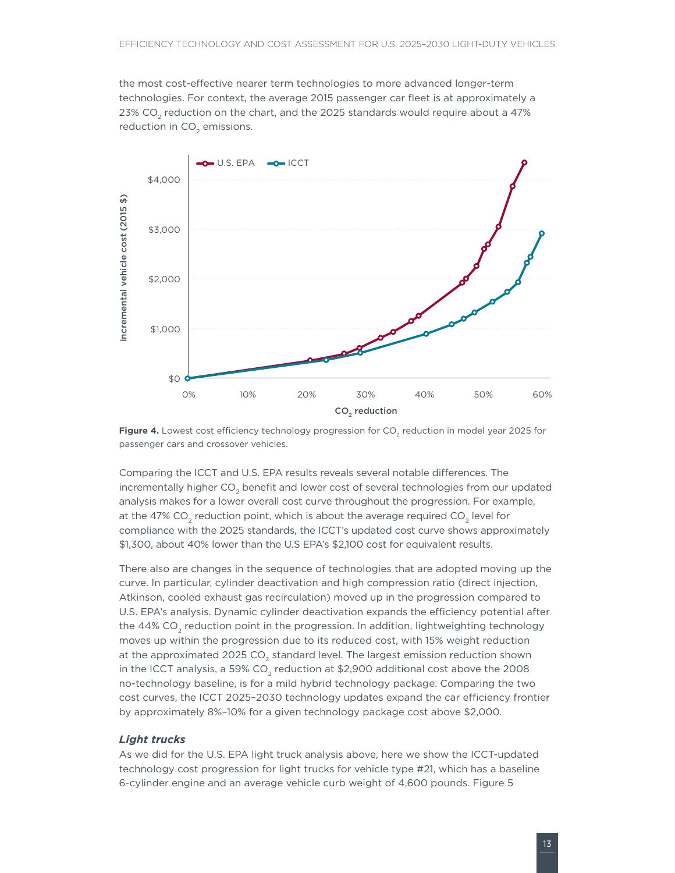<span id="page-18-0"></span>the most cost-effective nearer term technologies to more advanced longer-term technologies. For context, the average 2015 passenger car fleet is at approximately a 23% CO<sub>2</sub> reduction on the chart, and the 2025 standards would require about a 47% reduction in  $CO<sub>2</sub>$  emissions.



<span id="page-18-1"></span>Figure 4. Lowest cost efficiency technology progression for CO<sub>2</sub> reduction in model year 2025 for passenger cars and crossover vehicles.

Comparing the ICCT and U.S. EPA results reveals several notable differences. The incrementally higher CO<sub>2</sub> benefit and lower cost of several technologies from our updated analysis makes for a lower overall cost curve throughout the progression. For example, at the 47% CO<sub>2</sub> reduction point, which is about the average required CO<sub>2</sub> level for compliance with the 2025 standards, the ICCT's updated cost curve shows approximately \$1,300, about 40% lower than the U.S EPA's \$2,100 cost for equivalent results.

There also are changes in the sequence of technologies that are adopted moving up the curve. In particular, cylinder deactivation and high compression ratio (direct injection, Atkinson, cooled exhaust gas recirculation) moved up in the progression compared to U.S. EPA's analysis. Dynamic cylinder deactivation expands the efficiency potential after the  $44\%$  CO<sub>2</sub> reduction point in the progression. In addition, lightweighting technology moves up within the progression due to its reduced cost, with 15% weight reduction at the approximated 2025  $CO<sub>2</sub>$  standard level. The largest emission reduction shown in the ICCT analysis, a 59% CO<sub>2</sub> reduction at  $$2,900$  additional cost above the 2008 no-technology baseline, is for a mild hybrid technology package. Comparing the two cost curves, the ICCT 2025–2030 technology updates expand the car efficiency frontier by approximately 8%–10% for a given technology package cost above \$2,000.

#### *Light trucks*

As we did for the U.S. EPA light truck analysis above, here we show the ICCT-updated technology cost progression for light trucks for vehicle type #21, which has a baseline 6-cylinder engine and an average vehicle curb weight of 4,600 pounds. [Figure](#page-19-1) 5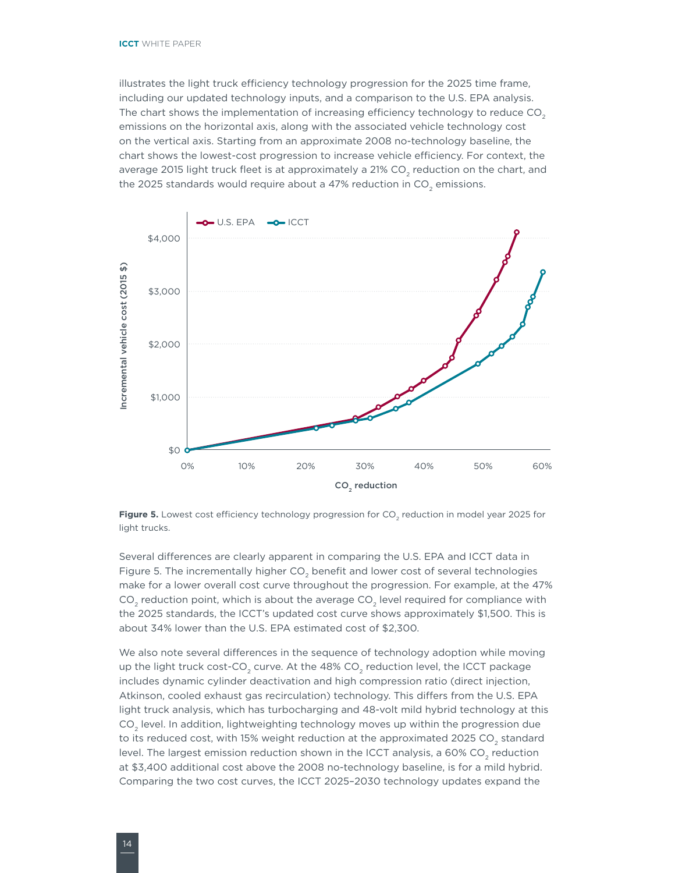<span id="page-19-0"></span>illustrates the light truck efficiency technology progression for the 2025 time frame, including our updated technology inputs, and a comparison to the U.S. EPA analysis. The chart shows the implementation of increasing efficiency technology to reduce  $CO<sub>2</sub>$ emissions on the horizontal axis, along with the associated vehicle technology cost on the vertical axis. Starting from an approximate 2008 no-technology baseline, the chart shows the lowest-cost progression to increase vehicle efficiency. For context, the average 2015 light truck fleet is at approximately a 21% CO<sub>2</sub> reduction on the chart, and the 2025 standards would require about a 47% reduction in  $CO<sub>2</sub>$  emissions.



<span id="page-19-1"></span>Figure 5. Lowest cost efficiency technology progression for CO<sub>2</sub> reduction in model year 2025 for light trucks.

Several differences are clearly apparent in comparing the U.S. EPA and ICCT data in [Figure](#page-19-1) 5. The incrementally higher CO<sub>2</sub> benefit and lower cost of several technologies make for a lower overall cost curve throughout the progression. For example, at the 47%  $CO<sub>2</sub>$  reduction point, which is about the average  $CO<sub>2</sub>$  level required for compliance with the 2025 standards, the ICCT's updated cost curve shows approximately \$1,500. This is about 34% lower than the U.S. EPA estimated cost of \$2,300.

We also note several differences in the sequence of technology adoption while moving up the light truck cost-CO<sub>2</sub> curve. At the 48% CO<sub>2</sub> reduction level, the ICCT package includes dynamic cylinder deactivation and high compression ratio (direct injection, Atkinson, cooled exhaust gas recirculation) technology. This differs from the U.S. EPA light truck analysis, which has turbocharging and 48-volt mild hybrid technology at this CO<sub>2</sub> level. In addition, lightweighting technology moves up within the progression due to its reduced cost, with 15% weight reduction at the approximated 2025 CO<sub>2</sub> standard level. The largest emission reduction shown in the ICCT analysis, a 60% CO<sub>2</sub> reduction at \$3,400 additional cost above the 2008 no-technology baseline, is for a mild hybrid. Comparing the two cost curves, the ICCT 2025–2030 technology updates expand the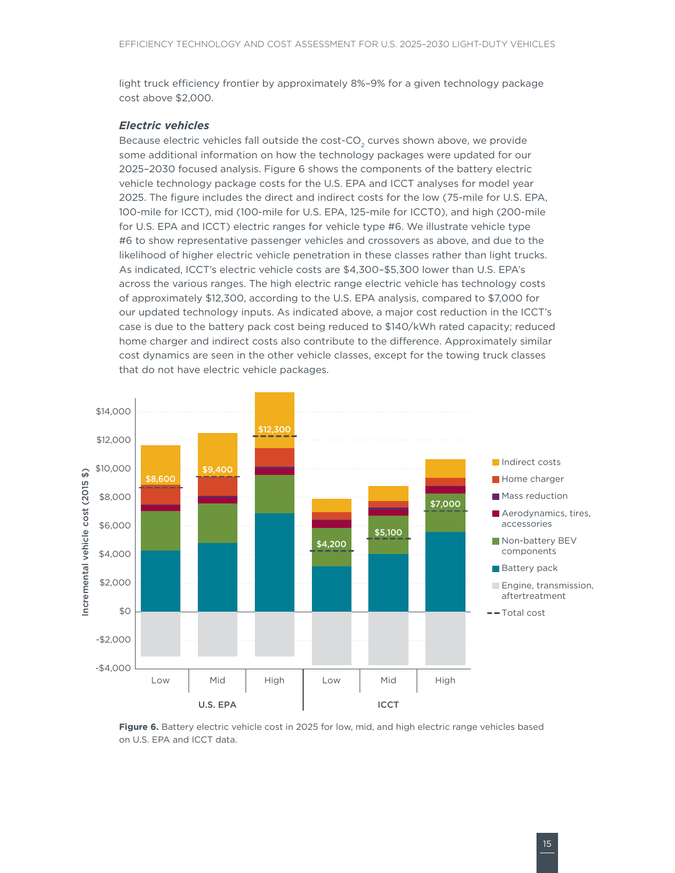<span id="page-20-0"></span>light truck efficiency frontier by approximately 8%–9% for a given technology package cost above \$2,000.

#### *Electric vehicles*

Because electric vehicles fall outside the cost-CO<sub>2</sub> curves shown above, we provide some additional information on how the technology packages were updated for our 2025–2030 focused analysis. [Figure 6](#page-20-1) shows the components of the battery electric vehicle technology package costs for the U.S. EPA and ICCT analyses for model year 2025. The figure includes the direct and indirect costs for the low (75-mile for U.S. EPA, 100-mile for ICCT), mid (100-mile for U.S. EPA, 125-mile for ICCT0), and high (200-mile for U.S. EPA and ICCT) electric ranges for vehicle type #6. We illustrate vehicle type #6 to show representative passenger vehicles and crossovers as above, and due to the likelihood of higher electric vehicle penetration in these classes rather than light trucks. As indicated, ICCT's electric vehicle costs are \$4,300–\$5,300 lower than U.S. EPA's across the various ranges. The high electric range electric vehicle has technology costs of approximately \$12,300, according to the U.S. EPA analysis, compared to \$7,000 for our updated technology inputs. As indicated above, a major cost reduction in the ICCT's case is due to the battery pack cost being reduced to \$140/kWh rated capacity; reduced home charger and indirect costs also contribute to the difference. Approximately similar cost dynamics are seen in the other vehicle classes, except for the towing truck classes that do not have electric vehicle packages.



<span id="page-20-1"></span>Figure 6. Battery electric vehicle cost in 2025 for low, mid, and high electric range vehicles based on U.S. EPA and ICCT data.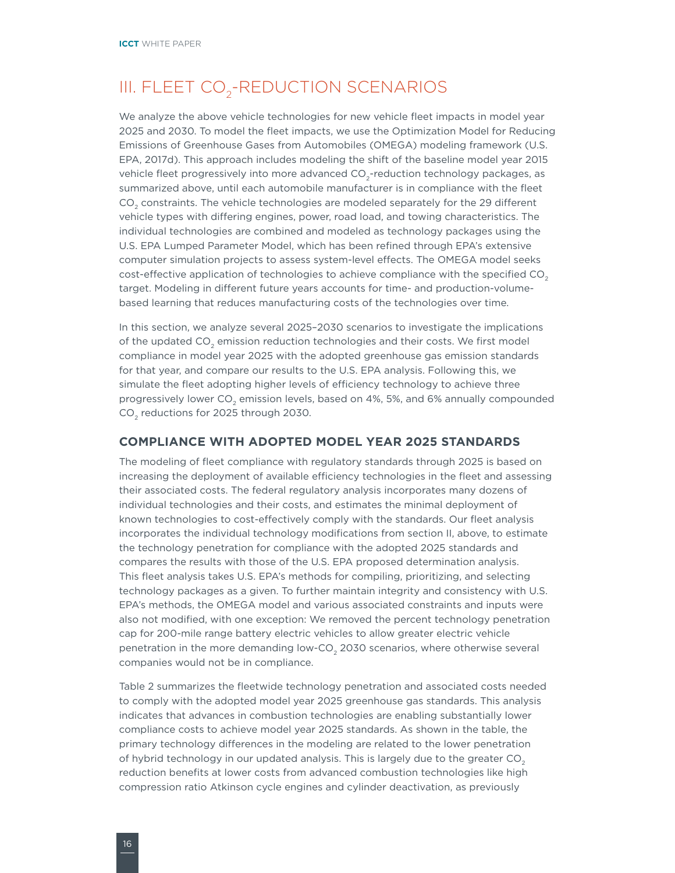# <span id="page-21-0"></span>III. FLEET CO<sub>2</sub>-REDUCTION SCENARIOS

We analyze the above vehicle technologies for new vehicle fleet impacts in model year 2025 and 2030. To model the fleet impacts, we use the Optimization Model for Reducing Emissions of Greenhouse Gases from Automobiles (OMEGA) modeling framework (U.S. EPA, 2017d). This approach includes modeling the shift of the baseline model year 2015 vehicle fleet progressively into more advanced CO<sub>2</sub>-reduction technology packages, as summarized above, until each automobile manufacturer is in compliance with the fleet CO<sub>2</sub> constraints. The vehicle technologies are modeled separately for the 29 different vehicle types with differing engines, power, road load, and towing characteristics. The individual technologies are combined and modeled as technology packages using the U.S. EPA Lumped Parameter Model, which has been refined through EPA's extensive computer simulation projects to assess system-level effects. The OMEGA model seeks cost-effective application of technologies to achieve compliance with the specified CO<sub>2</sub> target. Modeling in different future years accounts for time- and production-volumebased learning that reduces manufacturing costs of the technologies over time.

In this section, we analyze several 2025–2030 scenarios to investigate the implications of the updated CO<sub>2</sub> emission reduction technologies and their costs. We first model compliance in model year 2025 with the adopted greenhouse gas emission standards for that year, and compare our results to the U.S. EPA analysis. Following this, we simulate the fleet adopting higher levels of efficiency technology to achieve three progressively lower  $CO<sub>2</sub>$  emission levels, based on 4%, 5%, and 6% annually compounded CO<sub>2</sub> reductions for 2025 through 2030.

#### **COMPLIANCE WITH ADOPTED MODEL YEAR 2025 STANDARDS**

The modeling of fleet compliance with regulatory standards through 2025 is based on increasing the deployment of available efficiency technologies in the fleet and assessing their associated costs. The federal regulatory analysis incorporates many dozens of individual technologies and their costs, and estimates the minimal deployment of known technologies to cost-effectively comply with the standards. Our fleet analysis incorporates the individual technology modifications from section II, above, to estimate the technology penetration for compliance with the adopted 2025 standards and compares the results with those of the U.S. EPA proposed determination analysis. This fleet analysis takes U.S. EPA's methods for compiling, prioritizing, and selecting technology packages as a given. To further maintain integrity and consistency with U.S. EPA's methods, the OMEGA model and various associated constraints and inputs were also not modified, with one exception: We removed the percent technology penetration cap for 200-mile range battery electric vehicles to allow greater electric vehicle penetration in the more demanding low-CO<sub>2</sub> 2030 scenarios, where otherwise several companies would not be in compliance.

[Table](#page-22-1) 2 summarizes the fleetwide technology penetration and associated costs needed to comply with the adopted model year 2025 greenhouse gas standards. This analysis indicates that advances in combustion technologies are enabling substantially lower compliance costs to achieve model year 2025 standards. As shown in the table, the primary technology differences in the modeling are related to the lower penetration of hybrid technology in our updated analysis. This is largely due to the greater  $CO<sub>2</sub>$ reduction benefits at lower costs from advanced combustion technologies like high compression ratio Atkinson cycle engines and cylinder deactivation, as previously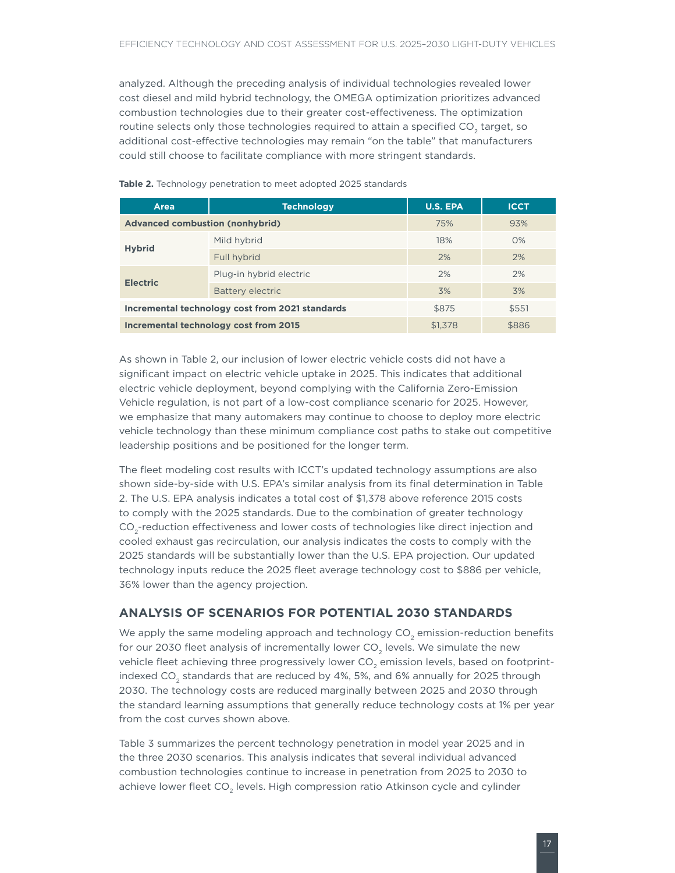<span id="page-22-0"></span>analyzed. Although the preceding analysis of individual technologies revealed lower cost diesel and mild hybrid technology, the OMEGA optimization prioritizes advanced combustion technologies due to their greater cost-effectiveness. The optimization routine selects only those technologies required to attain a specified  $CO<sub>2</sub>$  target, so additional cost-effective technologies may remain "on the table" that manufacturers could still choose to facilitate compliance with more stringent standards.

| Area                                   | <b>Technology</b>                               | <b>U.S. EPA</b> | <b>ICCT</b> |
|----------------------------------------|-------------------------------------------------|-----------------|-------------|
| <b>Advanced combustion (nonhybrid)</b> |                                                 | 75%             | 93%         |
|                                        | Mild hybrid                                     | 18%             | $O\%$       |
| <b>Hybrid</b>                          | Full hybrid                                     | 2%              | 2%          |
|                                        | Plug-in hybrid electric                         | 2%              | 2%          |
| <b>Electric</b>                        | Battery electric                                | 3%              | 3%          |
|                                        | Incremental technology cost from 2021 standards | \$875           | \$551       |
| Incremental technology cost from 2015  |                                                 | \$1,378         | \$886       |

<span id="page-22-1"></span>**Table 2.** Technology penetration to meet adopted 2025 standards

As shown in [Table 2](#page-22-1), our inclusion of lower electric vehicle costs did not have a significant impact on electric vehicle uptake in 2025. This indicates that additional electric vehicle deployment, beyond complying with the California Zero-Emission Vehicle regulation, is not part of a low-cost compliance scenario for 2025. However, we emphasize that many automakers may continue to choose to deploy more electric vehicle technology than these minimum compliance cost paths to stake out competitive leadership positions and be positioned for the longer term.

The fleet modeling cost results with ICCT's updated technology assumptions are also shown side-by-side with U.S. EPA's similar analysis from its final determination in [Table](#page-22-1)  2. The U.S. EPA analysis indicates a total cost of \$1,378 above reference 2015 costs to comply with the 2025 standards. Due to the combination of greater technology CO<sub>2</sub>-reduction effectiveness and lower costs of technologies like direct injection and cooled exhaust gas recirculation, our analysis indicates the costs to comply with the 2025 standards will be substantially lower than the U.S. EPA projection. Our updated technology inputs reduce the 2025 fleet average technology cost to \$886 per vehicle, 36% lower than the agency projection.

#### **ANALYSIS OF SCENARIOS FOR POTENTIAL 2030 STANDARDS**

We apply the same modeling approach and technology  $CO<sub>2</sub>$  emission-reduction benefits for our 2030 fleet analysis of incrementally lower  $CO<sub>2</sub>$  levels. We simulate the new vehicle fleet achieving three progressively lower CO<sub>2</sub> emission levels, based on footprintindexed CO<sub>2</sub> standards that are reduced by 4%, 5%, and 6% annually for 2025 through 2030. The technology costs are reduced marginally between 2025 and 2030 through the standard learning assumptions that generally reduce technology costs at 1% per year from the cost curves shown above.

Table 3 summarizes the percent technology penetration in model year 2025 and in the three 2030 scenarios. This analysis indicates that several individual advanced combustion technologies continue to increase in penetration from 2025 to 2030 to achieve lower fleet CO<sub>2</sub> levels. High compression ratio Atkinson cycle and cylinder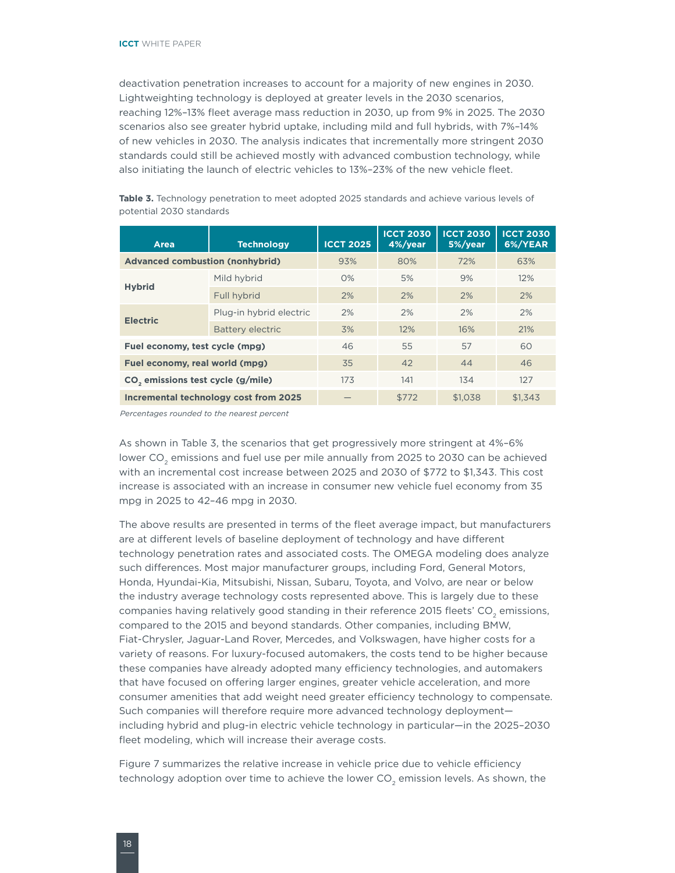<span id="page-23-0"></span>deactivation penetration increases to account for a majority of new engines in 2030. Lightweighting technology is deployed at greater levels in the 2030 scenarios, reaching 12%–13% fleet average mass reduction in 2030, up from 9% in 2025. The 2030 scenarios also see greater hybrid uptake, including mild and full hybrids, with 7%–14% of new vehicles in 2030. The analysis indicates that incrementally more stringent 2030 standards could still be achieved mostly with advanced combustion technology, while also initiating the launch of electric vehicles to 13%–23% of the new vehicle fleet.

| Area                                          | <b>Technology</b>                     | <b>ICCT 2025</b> | <b>ICCT 2030</b><br>4%/year | <b>ICCT 2030</b><br>5%/year | <b>ICCT 2030</b><br>6%/YEAR |
|-----------------------------------------------|---------------------------------------|------------------|-----------------------------|-----------------------------|-----------------------------|
| <b>Advanced combustion (nonhybrid)</b>        |                                       | 93%              | 80%                         | 72%                         | 63%                         |
|                                               | Mild hybrid                           | $O\%$            | 5%                          | 9%                          | 12%                         |
| <b>Hybrid</b>                                 | Full hybrid                           | 2%               | 2%                          | 2%                          | 2%                          |
| <b>Electric</b>                               | Plug-in hybrid electric               | 2%               | 2%                          | 2%                          | 2%                          |
|                                               | <b>Battery electric</b>               | 3%               | 12%                         | 16%                         | 21%                         |
| Fuel economy, test cycle (mpg)                |                                       | 46               | 55                          | 57                          | 60                          |
| Fuel economy, real world (mpg)                |                                       | 35               | 42                          | 44                          | 46                          |
| CO <sub>,</sub> emissions test cycle (g/mile) |                                       | 173              | 141                         | 134                         | 127                         |
|                                               | Incremental technology cost from 2025 |                  | \$772                       | \$1,038                     | \$1.343                     |

Table 3. Technology penetration to meet adopted 2025 standards and achieve various levels of potential 2030 standards

*Percentages rounded to the nearest percent*

As shown in Table 3, the scenarios that get progressively more stringent at 4%–6% lower CO<sub>2</sub> emissions and fuel use per mile annually from 2025 to 2030 can be achieved with an incremental cost increase between 2025 and 2030 of \$772 to \$1,343. This cost increase is associated with an increase in consumer new vehicle fuel economy from 35 mpg in 2025 to 42–46 mpg in 2030.

The above results are presented in terms of the fleet average impact, but manufacturers are at different levels of baseline deployment of technology and have different technology penetration rates and associated costs. The OMEGA modeling does analyze such differences. Most major manufacturer groups, including Ford, General Motors, Honda, Hyundai-Kia, Mitsubishi, Nissan, Subaru, Toyota, and Volvo, are near or below the industry average technology costs represented above. This is largely due to these companies having relatively good standing in their reference 2015 fleets' CO<sub>2</sub> emissions, compared to the 2015 and beyond standards. Other companies, including BMW, Fiat-Chrysler, Jaguar-Land Rover, Mercedes, and Volkswagen, have higher costs for a variety of reasons. For luxury-focused automakers, the costs tend to be higher because these companies have already adopted many efficiency technologies, and automakers that have focused on offering larger engines, greater vehicle acceleration, and more consumer amenities that add weight need greater efficiency technology to compensate. Such companies will therefore require more advanced technology deployment including hybrid and plug-in electric vehicle technology in particular—in the 2025–2030 fleet modeling, which will increase their average costs.

[Figure](#page-24-1) 7 summarizes the relative increase in vehicle price due to vehicle efficiency technology adoption over time to achieve the lower  $CO<sub>2</sub>$  emission levels. As shown, the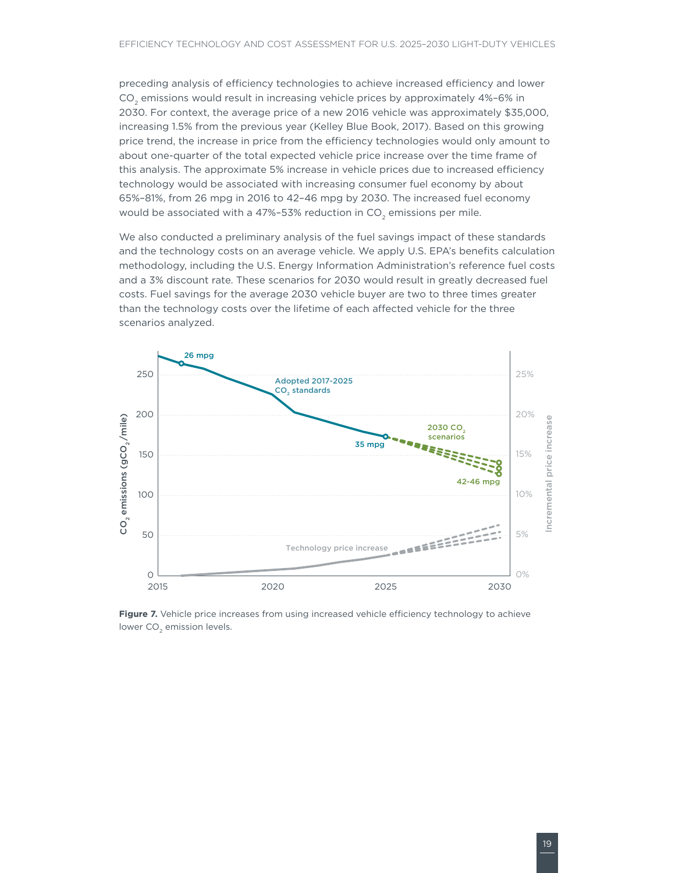<span id="page-24-0"></span>preceding analysis of efficiency technologies to achieve increased efficiency and lower CO2 emissions would result in increasing vehicle prices by approximately 4%–6% in 2030. For context, the average price of a new 2016 vehicle was approximately \$35,000, increasing 1.5% from the previous year (Kelley Blue Book, 2017). Based on this growing price trend, the increase in price from the efficiency technologies would only amount to about one-quarter of the total expected vehicle price increase over the time frame of this analysis. The approximate 5% increase in vehicle prices due to increased efficiency technology would be associated with increasing consumer fuel economy by about 65%–81%, from 26 mpg in 2016 to 42–46 mpg by 2030. The increased fuel economy would be associated with a 47%-53% reduction in  $CO<sub>2</sub>$  emissions per mile.

We also conducted a preliminary analysis of the fuel savings impact of these standards and the technology costs on an average vehicle. We apply U.S. EPA's benefits calculation methodology, including the U.S. Energy Information Administration's reference fuel costs and a 3% discount rate. These scenarios for 2030 would result in greatly decreased fuel costs. Fuel savings for the average 2030 vehicle buyer are two to three times greater than the technology costs over the lifetime of each affected vehicle for the three scenarios analyzed.



<span id="page-24-1"></span>Figure 7. Vehicle price increases from using increased vehicle efficiency technology to achieve lower CO<sub>2</sub> emission levels.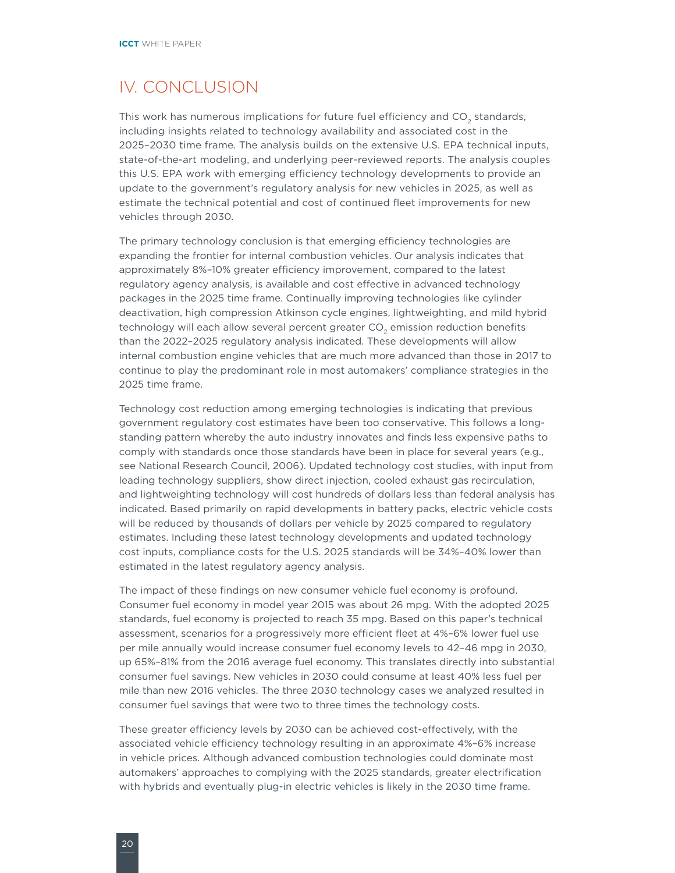### <span id="page-25-0"></span>IV. CONCLUSION

This work has numerous implications for future fuel efficiency and CO<sub>2</sub> standards, including insights related to technology availability and associated cost in the 2025–2030 time frame. The analysis builds on the extensive U.S. EPA technical inputs, state-of-the-art modeling, and underlying peer-reviewed reports. The analysis couples this U.S. EPA work with emerging efficiency technology developments to provide an update to the government's regulatory analysis for new vehicles in 2025, as well as estimate the technical potential and cost of continued fleet improvements for new vehicles through 2030.

The primary technology conclusion is that emerging efficiency technologies are expanding the frontier for internal combustion vehicles. Our analysis indicates that approximately 8%–10% greater efficiency improvement, compared to the latest regulatory agency analysis, is available and cost effective in advanced technology packages in the 2025 time frame. Continually improving technologies like cylinder deactivation, high compression Atkinson cycle engines, lightweighting, and mild hybrid technology will each allow several percent greater  $CO<sub>2</sub>$  emission reduction benefits than the 2022–2025 regulatory analysis indicated. These developments will allow internal combustion engine vehicles that are much more advanced than those in 2017 to continue to play the predominant role in most automakers' compliance strategies in the 2025 time frame.

Technology cost reduction among emerging technologies is indicating that previous government regulatory cost estimates have been too conservative. This follows a longstanding pattern whereby the auto industry innovates and finds less expensive paths to comply with standards once those standards have been in place for several years (e.g., see National Research Council, 2006). Updated technology cost studies, with input from leading technology suppliers, show direct injection, cooled exhaust gas recirculation, and lightweighting technology will cost hundreds of dollars less than federal analysis has indicated. Based primarily on rapid developments in battery packs, electric vehicle costs will be reduced by thousands of dollars per vehicle by 2025 compared to regulatory estimates. Including these latest technology developments and updated technology cost inputs, compliance costs for the U.S. 2025 standards will be 34%–40% lower than estimated in the latest regulatory agency analysis.

The impact of these findings on new consumer vehicle fuel economy is profound. Consumer fuel economy in model year 2015 was about 26 mpg. With the adopted 2025 standards, fuel economy is projected to reach 35 mpg. Based on this paper's technical assessment, scenarios for a progressively more efficient fleet at 4%–6% lower fuel use per mile annually would increase consumer fuel economy levels to 42–46 mpg in 2030, up 65%–81% from the 2016 average fuel economy. This translates directly into substantial consumer fuel savings. New vehicles in 2030 could consume at least 40% less fuel per mile than new 2016 vehicles. The three 2030 technology cases we analyzed resulted in consumer fuel savings that were two to three times the technology costs.

These greater efficiency levels by 2030 can be achieved cost-effectively, with the associated vehicle efficiency technology resulting in an approximate 4%–6% increase in vehicle prices. Although advanced combustion technologies could dominate most automakers' approaches to complying with the 2025 standards, greater electrification with hybrids and eventually plug-in electric vehicles is likely in the 2030 time frame.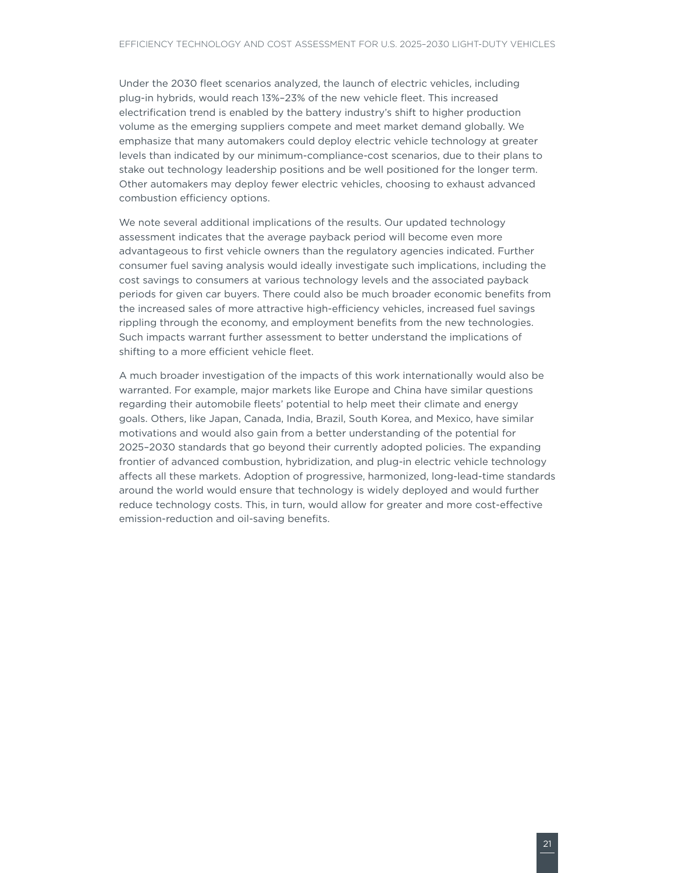Under the 2030 fleet scenarios analyzed, the launch of electric vehicles, including plug-in hybrids, would reach 13%–23% of the new vehicle fleet. This increased electrification trend is enabled by the battery industry's shift to higher production volume as the emerging suppliers compete and meet market demand globally. We emphasize that many automakers could deploy electric vehicle technology at greater levels than indicated by our minimum-compliance-cost scenarios, due to their plans to stake out technology leadership positions and be well positioned for the longer term. Other automakers may deploy fewer electric vehicles, choosing to exhaust advanced combustion efficiency options.

We note several additional implications of the results. Our updated technology assessment indicates that the average payback period will become even more advantageous to first vehicle owners than the regulatory agencies indicated. Further consumer fuel saving analysis would ideally investigate such implications, including the cost savings to consumers at various technology levels and the associated payback periods for given car buyers. There could also be much broader economic benefits from the increased sales of more attractive high-efficiency vehicles, increased fuel savings rippling through the economy, and employment benefits from the new technologies. Such impacts warrant further assessment to better understand the implications of shifting to a more efficient vehicle fleet.

A much broader investigation of the impacts of this work internationally would also be warranted. For example, major markets like Europe and China have similar questions regarding their automobile fleets' potential to help meet their climate and energy goals. Others, like Japan, Canada, India, Brazil, South Korea, and Mexico, have similar motivations and would also gain from a better understanding of the potential for 2025–2030 standards that go beyond their currently adopted policies. The expanding frontier of advanced combustion, hybridization, and plug-in electric vehicle technology affects all these markets. Adoption of progressive, harmonized, long-lead-time standards around the world would ensure that technology is widely deployed and would further reduce technology costs. This, in turn, would allow for greater and more cost-effective emission-reduction and oil-saving benefits.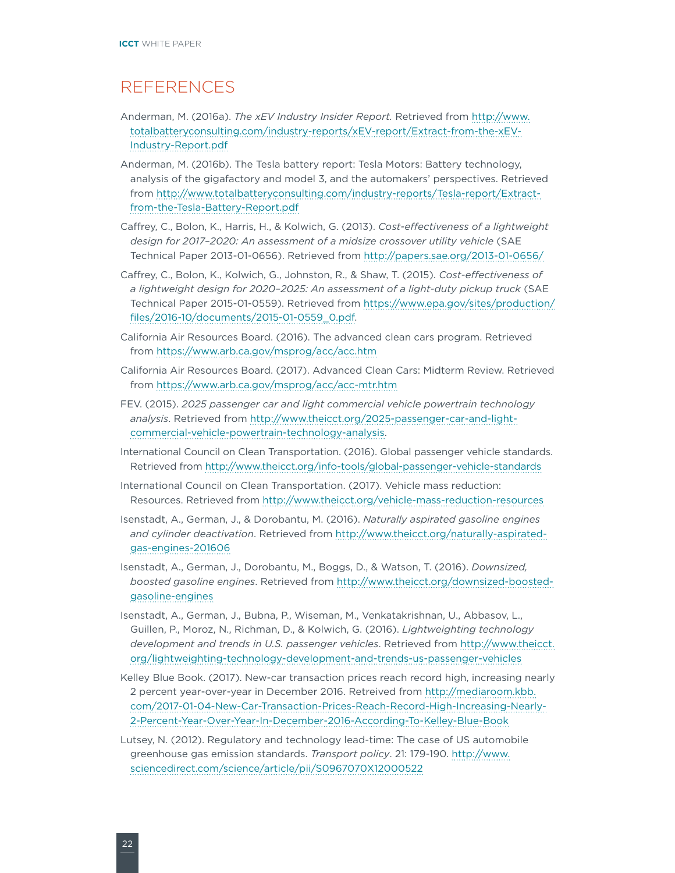### <span id="page-27-0"></span>REFERENCES

- Anderman, M. (2016a). *The xEV Industry Insider Report.* Retrieved from [http://www.](http://www.totalbatteryconsulting.com/industry-reports/xEV-report/Extract-from-the-xEV-Industry-Report.pdf) [totalbatteryconsulting.com/industry-reports/xEV-report/Extract-from-the-xEV-](http://www.totalbatteryconsulting.com/industry-reports/xEV-report/Extract-from-the-xEV-Industry-Report.pdf)[Industry-Report.pdf](http://www.totalbatteryconsulting.com/industry-reports/xEV-report/Extract-from-the-xEV-Industry-Report.pdf)
- Anderman, M. (2016b). The Tesla battery report: Tesla Motors: Battery technology, analysis of the gigafactory and model 3, and the automakers' perspectives. Retrieved from [http://www.totalbatteryconsulting.com/industry-reports/Tesla-report/Extract](http://www.totalbatteryconsulting.com/industry-reports/Tesla-report/Extract-from-the-Tesla-Battery-Report.pdf)[from-the-Tesla-Battery-Report.pdf](http://www.totalbatteryconsulting.com/industry-reports/Tesla-report/Extract-from-the-Tesla-Battery-Report.pdf)
- Caffrey, C., Bolon, K., Harris, H., & Kolwich, G. (2013). *Cost-effectiveness of a lightweight design for 2017–2020: An assessment of a midsize crossover utility vehicle* (SAE Technical Paper 2013-01-0656). Retrieved from<http://papers.sae.org/2013-01-0656/>
- Caffrey, C., Bolon, K., Kolwich, G., Johnston, R., & Shaw, T. (2015). *Cost-effectiveness of a lightweight design for 2020–2025: An assessment of a light-duty pickup truck* (SAE Technical Paper 2015-01-0559). Retrieved from [https://www.epa.gov/sites/production/](https://www.epa.gov/sites/production/files/2016-10/documents/2015-01-0559_0.pdf) [files/2016-10/documents/2015-01-0559\\_0.pdf.](https://www.epa.gov/sites/production/files/2016-10/documents/2015-01-0559_0.pdf)
- California Air Resources Board. (2016). The advanced clean cars program. Retrieved from<https://www.arb.ca.gov/msprog/acc/acc.htm>
- California Air Resources Board. (2017). Advanced Clean Cars: Midterm Review. Retrieved from<https://www.arb.ca.gov/msprog/acc/acc-mtr.htm>
- FEV. (2015). *2025 passenger car and light commercial vehicle powertrain technology analysis*. Retrieved from [http://www.theicct.org/2025-passenger-car-and-light](http://www.theicct.org/2025-passenger-car-and-light-commercial-vehicle-powertrain-technology-analysis)[commercial-vehicle-powertrain-technology-analysis.](http://www.theicct.org/2025-passenger-car-and-light-commercial-vehicle-powertrain-technology-analysis)
- International Council on Clean Transportation. (2016). Global passenger vehicle standards. Retrieved from<http://www.theicct.org/info-tools/global-passenger-vehicle-standards>
- International Council on Clean Transportation. (2017). Vehicle mass reduction: Resources. Retrieved from<http://www.theicct.org/vehicle-mass-reduction-resources>
- Isenstadt, A., German, J., & Dorobantu, M. (2016). *Naturally aspirated gasoline engines and cylinder deactivation*. Retrieved from [http://www.theicct.org/naturally-aspirated](http://www.theicct.org/naturally-aspirated-gas-engines-201606)[gas-engines-201606](http://www.theicct.org/naturally-aspirated-gas-engines-201606)
- Isenstadt, A., German, J., Dorobantu, M., Boggs, D., & Watson, T. (2016). *Downsized, boosted gasoline engines*. Retrieved from [http://www.theicct.org/downsized-boosted](http://www.theicct.org/downsized-boosted-gasoline-engines)[gasoline-engines](http://www.theicct.org/downsized-boosted-gasoline-engines)
- Isenstadt, A., German, J., Bubna, P., Wiseman, M., Venkatakrishnan, U., Abbasov, L., Guillen, P., Moroz, N., Richman, D., & Kolwich, G. (2016). *Lightweighting technology development and trends in U.S. passenger vehicles*. Retrieved from [http://www.theicct.](http://www.theicct.org/lightweighting-technology-development-and-trends-us-passenger-vehicles) [org/lightweighting-technology-development-and-trends-us-passenger-vehicles](http://www.theicct.org/lightweighting-technology-development-and-trends-us-passenger-vehicles)
- Kelley Blue Book. (2017). New-car transaction prices reach record high, increasing nearly 2 percent year-over-year in December 2016. Retreived from [http://mediaroom.kbb.](http://mediaroom.kbb.com/2017-01-04-New-Car-Transaction-Prices-Reach-Record-High-Increasing-Nearly-2-Percent-Year-Over-Year-In-December-2016-According-To-Kelley-Blue-Book) [com/2017-01-04-New-Car-Transaction-Prices-Reach-Record-High-Increasing-Nearly-](http://mediaroom.kbb.com/2017-01-04-New-Car-Transaction-Prices-Reach-Record-High-Increasing-Nearly-2-Percent-Year-Over-Year-In-December-2016-According-To-Kelley-Blue-Book)[2-Percent-Year-Over-Year-In-December-2016-According-To-Kelley-Blue-Book](http://mediaroom.kbb.com/2017-01-04-New-Car-Transaction-Prices-Reach-Record-High-Increasing-Nearly-2-Percent-Year-Over-Year-In-December-2016-According-To-Kelley-Blue-Book)
- Lutsey, N. (2012). Regulatory and technology lead-time: The case of US automobile greenhouse gas emission standards. *Transport policy*. 21: 179-190. [http://www.](http://www.sciencedirect.com/science/article/pii/S0967070X12000522) [sciencedirect.com/science/article/pii/S0967070X12000522](http://www.sciencedirect.com/science/article/pii/S0967070X12000522)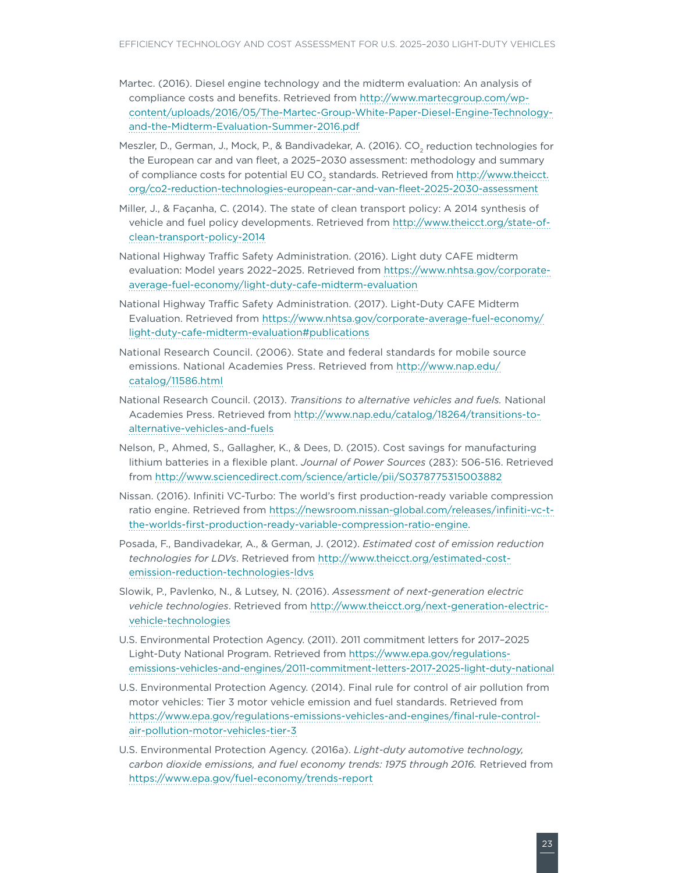- Martec. (2016). Diesel engine technology and the midterm evaluation: An analysis of compliance costs and benefits. Retrieved from [http://www.martecgroup.com/wp](http://www.martecgroup.com/wp-content/uploads/2016/05/The-Martec-Group-White-Paper-Diesel-Engine-Technology-and-the-Midterm-Evaluation-Summer-2016.pdf)[content/uploads/2016/05/The-Martec-Group-White-Paper-Diesel-Engine-Technology](http://www.martecgroup.com/wp-content/uploads/2016/05/The-Martec-Group-White-Paper-Diesel-Engine-Technology-and-the-Midterm-Evaluation-Summer-2016.pdf)[and-the-Midterm-Evaluation-Summer-2016.pdf](http://www.martecgroup.com/wp-content/uploads/2016/05/The-Martec-Group-White-Paper-Diesel-Engine-Technology-and-the-Midterm-Evaluation-Summer-2016.pdf)
- Meszler, D., German, J., Mock, P., & Bandivadekar, A. (2016). CO<sub>2</sub> reduction technologies for the European car and van fleet, a 2025–2030 assessment: methodology and summary of compliance costs for potential EU CO<sub>2</sub> standards. Retrieved from [http://www.theicct.](http://www.theicct.org/co2-reduction-technologies-european-car-and-van-fleet-2025-2030-assessment) [org/co2-reduction-technologies-european-car-and-van-fleet-2025-2030-assessment](http://www.theicct.org/co2-reduction-technologies-european-car-and-van-fleet-2025-2030-assessment)
- Miller, J., & Façanha, C. (2014). The state of clean transport policy: A 2014 synthesis of vehicle and fuel policy developments. Retrieved from [http://www.theicct.org/state-of](http://www.theicct.org/state-of-clean-transport-policy-2014)[clean-transport-policy-2014](http://www.theicct.org/state-of-clean-transport-policy-2014)
- National Highway Traffic Safety Administration. (2016). Light duty CAFE midterm evaluation: Model years 2022–2025. Retrieved from [https://www.nhtsa.gov/corporate](https://www.nhtsa.gov/corporate-average-fuel-economy/light-duty-cafe-midterm-evaluation)[average-fuel-economy/light-duty-cafe-midterm-evaluation](https://www.nhtsa.gov/corporate-average-fuel-economy/light-duty-cafe-midterm-evaluation)
- National Highway Traffic Safety Administration. (2017). Light-Duty CAFE Midterm Evaluation. Retrieved from [https://www.nhtsa.gov/corporate-average-fuel-economy/](https://www.nhtsa.gov/corporate-average-fuel-economy/light-duty-cafe-midterm-evaluation#publications) [light-duty-cafe-midterm-evaluation#publications](https://www.nhtsa.gov/corporate-average-fuel-economy/light-duty-cafe-midterm-evaluation#publications)
- National Research Council. (2006). State and federal standards for mobile source emissions. National Academies Press. Retrieved from [http://www.nap.edu/](http://www.nap.edu/catalog/11586.html) [catalog/11586.html](http://www.nap.edu/catalog/11586.html)
- National Research Council. (2013). *Transitions to alternative vehicles and fuels.* National Academies Press. Retrieved from [http://www.nap.edu/catalog/18264/transitions-to](http://www.nap.edu/catalog/18264/transitions-to-alternative-vehicles-and-fuels)[alternative-vehicles-and-fuels](http://www.nap.edu/catalog/18264/transitions-to-alternative-vehicles-and-fuels)
- Nelson, P., Ahmed, S., Gallagher, K., & Dees, D. (2015). Cost savings for manufacturing lithium batteries in a flexible plant. *Journal of Power Sources* (283): 506-516. Retrieved from <http://www.sciencedirect.com/science/article/pii/S0378775315003882>
- Nissan. (2016). Infiniti VC-Turbo: The world's first production-ready variable compression ratio engine. Retrieved from [https://newsroom.nissan-global.com/releases/infiniti-vc-t](https://newsroom.nissan-global.com/releases/infiniti-vc-t-the-worlds-first-production-ready-variable-compression-ratio-engine)[the-worlds-first-production-ready-variable-compression-ratio-engine.](https://newsroom.nissan-global.com/releases/infiniti-vc-t-the-worlds-first-production-ready-variable-compression-ratio-engine)
- Posada, F., Bandivadekar, A., & German, J. (2012). *Estimated cost of emission reduction technologies for LDVs*. Retrieved from [http://www.theicct.org/estimated-cost](http://www.theicct.org/estimated-cost-emission-reduction-technologies-ldvs)[emission-reduction-technologies-ldvs](http://www.theicct.org/estimated-cost-emission-reduction-technologies-ldvs)
- Slowik, P., Pavlenko, N., & Lutsey, N. (2016). *Assessment of next-generation electric vehicle technologies*. Retrieved from [http://www.theicct.org/next-generation-electric](http://www.theicct.org/next-generation-electric-vehicle-technologies)[vehicle-technologies](http://www.theicct.org/next-generation-electric-vehicle-technologies)
- U.S. Environmental Protection Agency. (2011). 2011 commitment letters for 2017–2025 Light-Duty National Program. Retrieved from [https://www.epa.gov/regulations](https://www.epa.gov/regulations-emissions-vehicles-and-engines/2011-commitment-letters-2017-2025-light-duty-national)[emissions-vehicles-and-engines/2011-commitment-letters-2017-2025-light-duty-national](https://www.epa.gov/regulations-emissions-vehicles-and-engines/2011-commitment-letters-2017-2025-light-duty-national)
- U.S. Environmental Protection Agency. (2014). Final rule for control of air pollution from motor vehicles: Tier 3 motor vehicle emission and fuel standards. Retrieved from [https://www.epa.gov/regulations-emissions-vehicles-and-engines/final-rule-control](https://www.epa.gov/regulations-emissions-vehicles-and-engines/final-rule-control-air-pollution-motor-vehicles-tier-3)[air-pollution-motor-vehicles-tier-3](https://www.epa.gov/regulations-emissions-vehicles-and-engines/final-rule-control-air-pollution-motor-vehicles-tier-3)
- U.S. Environmental Protection Agency. (2016a). *Light-duty automotive technology, carbon dioxide emissions, and fuel economy trends: 1975 through 2016.* Retrieved from <https://www.epa.gov/fuel-economy/trends-report>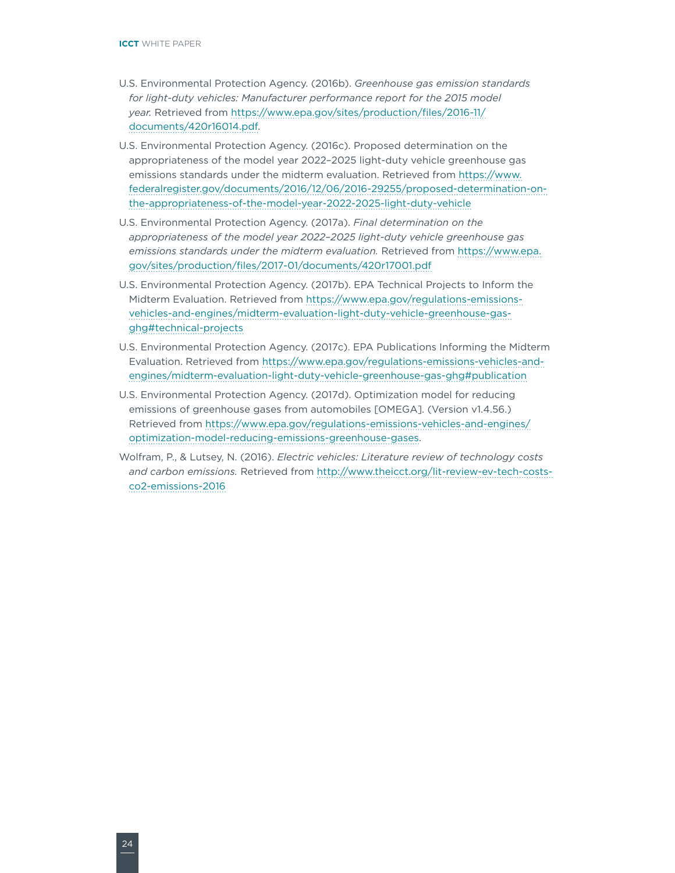- U.S. Environmental Protection Agency. (2016b). *Greenhouse gas emission standards*  for light-duty vehicles: Manufacturer performance report for the 2015 model *year.* Retrieved from [https://www.epa.gov/sites/production/files/2016-11/](https://www.epa.gov/sites/production/files/2016-11/documents/420r16014.pdf) [documents/420r16014.pdf](https://www.epa.gov/sites/production/files/2016-11/documents/420r16014.pdf).
- U.S. Environmental Protection Agency. (2016c). Proposed determination on the appropriateness of the model year 2022–2025 light-duty vehicle greenhouse gas emissions standards under the midterm evaluation. Retrieved from [https://www.](https://www.federalregister.gov/documents/2016/12/06/2016-29255/proposed-determination-on-the-appropriateness-of-the-model-year-2022-2025-light-duty-vehicle) [federalregister.gov/documents/2016/12/06/2016-29255/proposed-determination-on](https://www.federalregister.gov/documents/2016/12/06/2016-29255/proposed-determination-on-the-appropriateness-of-the-model-year-2022-2025-light-duty-vehicle)[the-appropriateness-of-the-model-year-2022-2025-light-duty-vehicle](https://www.federalregister.gov/documents/2016/12/06/2016-29255/proposed-determination-on-the-appropriateness-of-the-model-year-2022-2025-light-duty-vehicle)
- U.S. Environmental Protection Agency. (2017a). *Final determination on the appropriateness of the model year 2022–2025 light-duty vehicle greenhouse gas emissions standards under the midterm evaluation.* Retrieved from [https://www.epa.](https://www.epa.gov/sites/production/files/2017-01/documents/420r17001.pdf) [gov/sites/production/files/2017-01/documents/420r17001.pdf](https://www.epa.gov/sites/production/files/2017-01/documents/420r17001.pdf)
- U.S. Environmental Protection Agency. (2017b). EPA Technical Projects to Inform the Midterm Evaluation. Retrieved from [https://www.epa.gov/regulations-emissions](https://www.epa.gov/regulations-emissions-vehicles-and-engines/midterm-evaluation-light-duty-vehicle-greenhouse-gas-ghg#technical-projects)[vehicles-and-engines/midterm-evaluation-light-duty-vehicle-greenhouse-gas](https://www.epa.gov/regulations-emissions-vehicles-and-engines/midterm-evaluation-light-duty-vehicle-greenhouse-gas-ghg#technical-projects)[ghg#technical-projects](https://www.epa.gov/regulations-emissions-vehicles-and-engines/midterm-evaluation-light-duty-vehicle-greenhouse-gas-ghg#technical-projects)
- U.S. Environmental Protection Agency. (2017c). EPA Publications Informing the Midterm Evaluation. Retrieved from [https://www.epa.gov/regulations-emissions-vehicles-and](https://www.epa.gov/regulations-emissions-vehicles-and-engines/midterm-evaluation-light-duty-vehicle-greenhouse-gas-ghg#publication)[engines/midterm-evaluation-light-duty-vehicle-greenhouse-gas-ghg#publication](https://www.epa.gov/regulations-emissions-vehicles-and-engines/midterm-evaluation-light-duty-vehicle-greenhouse-gas-ghg#publication)
- U.S. Environmental Protection Agency. (2017d). Optimization model for reducing emissions of greenhouse gases from automobiles [OMEGA]. (Version v1.4.56.) Retrieved from [https://www.epa.gov/regulations-emissions-vehicles-and-engines/](https://www.epa.gov/regulations-emissions-vehicles-and-engines/optimization-model-reducing-emissions-greenhouse-gases) [optimization-model-reducing-emissions-greenhouse-gases](https://www.epa.gov/regulations-emissions-vehicles-and-engines/optimization-model-reducing-emissions-greenhouse-gases).
- Wolfram, P., & Lutsey, N. (2016). *Electric vehicles: Literature review of technology costs and carbon emissions.* Retrieved from [http://www.theicct.org/lit-review-ev-tech-costs](http://www.theicct.org/lit-review-ev-tech-costs-co2-emissions-2016)[co2-emissions-2016](http://www.theicct.org/lit-review-ev-tech-costs-co2-emissions-2016)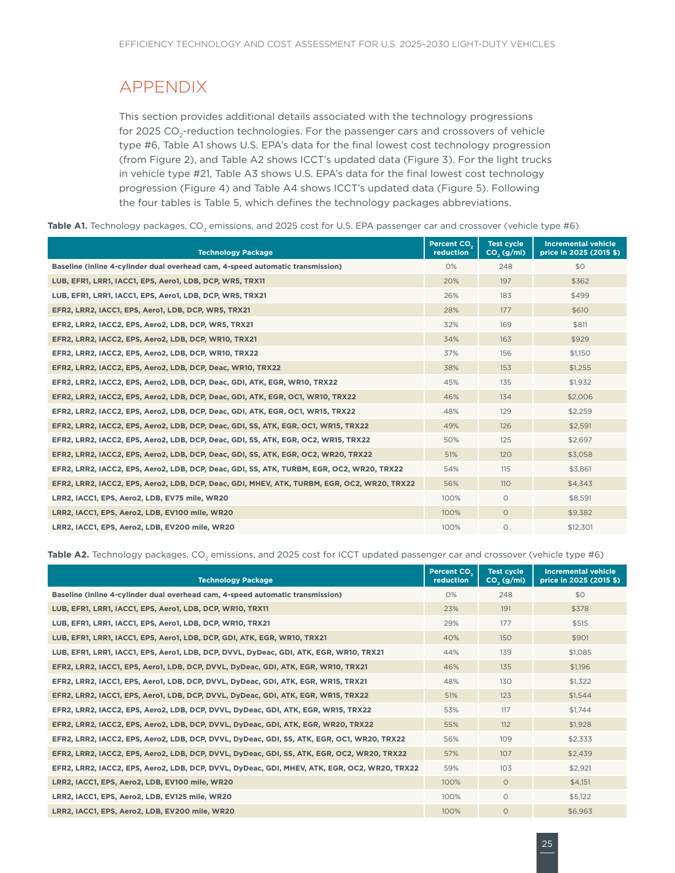# <span id="page-30-0"></span>APPENDIX

This section provides additional details associated with the technology progressions for 2025 CO<sub>2</sub>-reduction technologies. For the passenger cars and crossovers of vehicle type #6, Table A1 shows U.S. EPA's data for the final lowest cost technology progression (from Figure 2), and Table A2 shows ICCT's updated data (Figure 3). For the light trucks in vehicle type #21, Table A3 shows U.S. EPA's data for the final lowest cost technology progression (Figure 4) and Table A4 shows ICCT's updated data (Figure 5). Following the four tables is Table 5, which defines the technology packages abbreviations.

Table A1. Technology packages, CO<sub>2</sub> emissions, and 2025 cost for U.S. EPA passenger car and crossover (vehicle type #6)

| <b>Technology Package</b>                                                                   | Percent CO <sub>2</sub><br>reduction | Test cycle<br>$CO2$ (g/mi) | <b>Incremental vehicle</b><br>price in 2025 (2015 \$) |
|---------------------------------------------------------------------------------------------|--------------------------------------|----------------------------|-------------------------------------------------------|
| Baseline (inline 4-cylinder dual overhead cam, 4-speed automatic transmission)              | 0%                                   | 248                        | \$0                                                   |
| LUB, EFR1, LRR1, IACC1, EPS, Aero1, LDB, DCP, WR5, TRX11                                    | 20%                                  | 197                        | \$362                                                 |
| LUB, EFR1, LRR1, IACC1, EPS, Aero1, LDB, DCP, WR5, TRX21                                    | 26%                                  | 183                        | \$499                                                 |
| EFR2, LRR2, IACC1, EPS, Aero1, LDB, DCP, WR5, TRX21                                         | 28%                                  | 177                        | \$610                                                 |
| EFR2, LRR2, IACC2, EPS, Aero2, LDB, DCP, WR5, TRX21                                         | 32%                                  | 169                        | \$811                                                 |
| EFR2, LRR2, IACC2, EPS, Aero2, LDB, DCP, WR10, TRX21                                        | 34%                                  | 163                        | \$929                                                 |
| EFR2, LRR2, IACC2, EPS, Aero2, LDB, DCP, WR10, TRX22                                        | 37%                                  | 156                        | \$1,150                                               |
| EFR2, LRR2, IACC2, EPS, Aero2, LDB, DCP, Deac, WR10, TRX22                                  | 38%                                  | 153                        | \$1,255                                               |
| EFR2, LRR2, IACC2, EPS, Aero2, LDB, DCP, Deac, GDI, ATK, EGR, WR10, TRX22                   | 45%                                  | 135                        | \$1,932                                               |
| EFR2, LRR2, IACC2, EPS, Aero2, LDB, DCP, Deac, GDI, ATK, EGR, OC1, WR10, TRX22              | 46%                                  | 134                        | \$2,006                                               |
| EFR2, LRR2, IACC2, EPS, Aero2, LDB, DCP, Deac, GDI, ATK, EGR, OC1, WR15, TRX22              | 48%                                  | 129                        | \$2,259                                               |
| EFR2, LRR2, IACC2, EPS, Aero2, LDB, DCP, Deac, GDI, SS, ATK, EGR, OC1, WR15, TRX22          | 49%                                  | 126                        | \$2,591                                               |
| EFR2, LRR2, IACC2, EPS, Aero2, LDB, DCP, Deac, GDI, SS, ATK, EGR, OC2, WR15, TRX22          | 50%                                  | 125                        | \$2,697                                               |
| EFR2, LRR2, IACC2, EPS, Aero2, LDB, DCP, Deac, GDI, SS, ATK, EGR, OC2, WR20, TRX22          | 51%                                  | 120                        | \$3,058                                               |
| EFR2, LRR2, IACC2, EPS, Aero2, LDB, DCP, Deac, GDI, SS, ATK, TURBM, EGR, OC2, WR20, TRX22   | 54%                                  | 115                        | \$3,861                                               |
| EFR2, LRR2, IACC2, EPS, Aero2, LDB, DCP, Deac, GDI, MHEV, ATK, TURBM, EGR, OC2, WR20, TRX22 | 56%                                  | <b>110</b>                 | \$4,343                                               |
| LRR2, IACC1, EPS, Aero2, LDB, EV75 mile, WR20                                               | 100%                                 | $\circ$                    | \$8,591                                               |
| LRR2, IACC1, EPS, Aero2, LDB, EV100 mile, WR20                                              | 100%                                 | $\circ$                    | \$9,382                                               |
| LRR2, IACC1, EPS, Aero2, LDB, EV200 mile, WR20                                              | 100%                                 | $\circ$                    | \$12,301                                              |

Table A2. Technology packages, CO<sub>2</sub> emissions, and 2025 cost for ICCT updated passenger car and crossover (vehicle type #6)

| <b>Technology Package</b>                                                                    | Percent CO <sub>2</sub><br>reduction | <b>Test cycle</b><br>$CO2$ (g/mi) | <b>Incremental vehicle</b><br>price in 2025 (2015 \$) |
|----------------------------------------------------------------------------------------------|--------------------------------------|-----------------------------------|-------------------------------------------------------|
| Baseline (inline 4-cylinder dual overhead cam, 4-speed automatic transmission)               | 0%                                   | 248                               | \$0                                                   |
| LUB, EFR1, LRR1, IACC1, EPS, Aero1, LDB, DCP, WR10, TRX11                                    | 23%                                  | 191                               | \$378                                                 |
| LUB, EFR1, LRR1, IACC1, EPS, Aero1, LDB, DCP, WR10, TRX21                                    | 29%                                  | 177                               | \$515                                                 |
| LUB, EFR1, LRR1, IACC1, EPS, Aero1, LDB, DCP, GDI, ATK, EGR, WR10, TRX21                     | 40%                                  | 150                               | \$901                                                 |
| LUB, EFR1, LRR1, IACC1, EPS, Aero1, LDB, DCP, DVVL, DyDeac, GDI, ATK, EGR, WR10, TRX21       | 44%                                  | 139                               | \$1.085                                               |
| EFR2, LRR2, IACC1, EPS, Aero1, LDB, DCP, DVVL, DyDeac, GDI, ATK, EGR, WR10, TRX21            | 46%                                  | 135                               | \$1.196                                               |
| EFR2, LRR2, IACC1, EPS, Aero1, LDB, DCP, DVVL, DyDeac, GDI, ATK, EGR, WR15, TRX21            | 48%                                  | 130                               | \$1,322                                               |
| EFR2, LRR2, IACC1, EPS, Aero1, LDB, DCP, DVVL, DyDeac, GDI, ATK, EGR, WR15, TRX22            | 51%                                  | 123                               | \$1,544                                               |
| EFR2, LRR2, IACC2, EPS, Aero2, LDB, DCP, DVVL, DyDeac, GDI, ATK, EGR, WR15, TRX22            | 53%                                  | 117                               | \$1,744                                               |
| EFR2, LRR2, IACC2, EPS, Aero2, LDB, DCP, DVVL, DyDeac, GDI, ATK, EGR, WR20, TRX22            | 55%                                  | 112                               | \$1,928                                               |
| EFR2, LRR2, IACC2, EPS, Aero2, LDB, DCP, DVVL, DyDeac, GDI, SS, ATK, EGR, OC1, WR20, TRX22   | 56%                                  | 109                               | \$2,333                                               |
| EFR2, LRR2, IACC2, EPS, Aero2, LDB, DCP, DVVL, DyDeac, GDI, SS, ATK, EGR, OC2, WR20, TRX22   | 57%                                  | 107                               | \$2,439                                               |
| EFR2, LRR2, IACC2, EPS, Aero2, LDB, DCP, DVVL, DyDeac, GDI, MHEV, ATK, EGR, OC2, WR20, TRX22 | 59%                                  | 103                               | \$2,921                                               |
| LRR2, IACC1, EPS, Aero2, LDB, EV100 mile, WR20                                               | 100%                                 | $\circ$                           | \$4,151                                               |
| LRR2, IACC1, EPS, Aero2, LDB, EV125 mile, WR20                                               | 100%                                 | $\circ$                           | \$5,122                                               |
| LRR2, IACC1, EPS, Aero2, LDB, EV200 mile, WR20                                               | 100%                                 | $\Omega$                          | \$6,963                                               |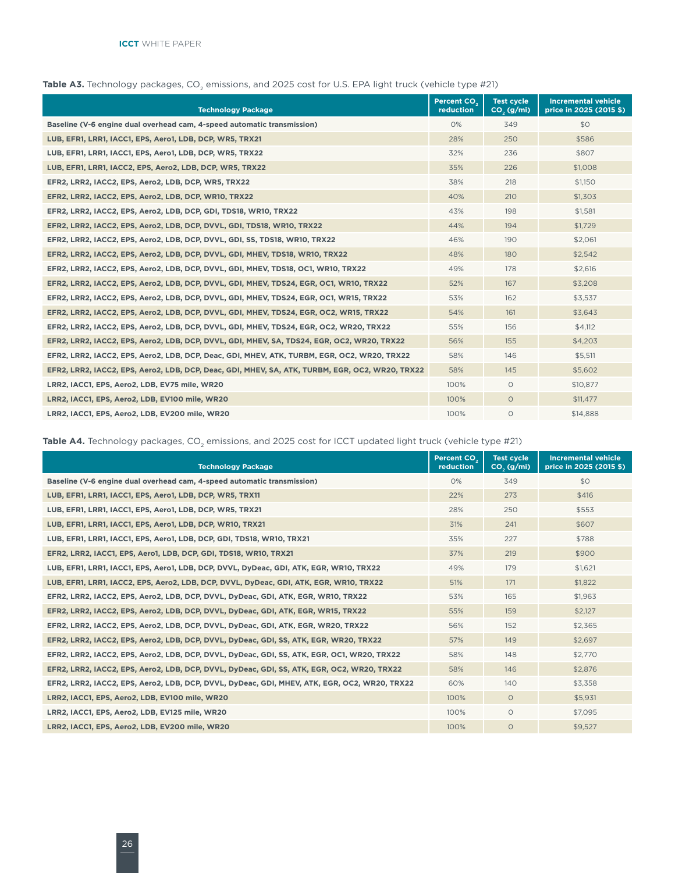| <b>Technology Package</b>                                                                       | Percent CO.<br>reduction | <b>Test cycle</b><br>CO <sub>2</sub> (g/ml) | <b>Incremental vehicle</b><br>price in 2025 (2015 \$) |
|-------------------------------------------------------------------------------------------------|--------------------------|---------------------------------------------|-------------------------------------------------------|
| Baseline (V-6 engine dual overhead cam, 4-speed automatic transmission)                         | 0%                       | 349                                         | \$0                                                   |
| LUB, EFR1, LRR1, IACC1, EPS, Aero1, LDB, DCP, WR5, TRX21                                        | 28%                      | 250                                         | \$586                                                 |
| LUB, EFR1, LRR1, IACC1, EPS, Aero1, LDB, DCP, WR5, TRX22                                        | 32%                      | 236                                         | \$807                                                 |
| LUB, EFR1, LRR1, IACC2, EPS, Aero2, LDB, DCP, WR5, TRX22                                        | 35%                      | 226                                         | \$1,008                                               |
| EFR2, LRR2, IACC2, EPS, Aero2, LDB, DCP, WR5, TRX22                                             | 38%                      | 218                                         | \$1,150                                               |
| EFR2, LRR2, IACC2, EPS, Aero2, LDB, DCP, WR10, TRX22                                            | 40%                      | 210                                         | \$1,303                                               |
| EFR2, LRR2, IACC2, EPS, Aero2, LDB, DCP, GDI, TDS18, WR10, TRX22                                | 43%                      | 198                                         | \$1,581                                               |
| EFR2, LRR2, IACC2, EPS, Aero2, LDB, DCP, DVVL, GDI, TDS18, WR10, TRX22                          | 44%                      | 194                                         | \$1,729                                               |
| EFR2, LRR2, IACC2, EPS, Aero2, LDB, DCP, DVVL, GDI, SS, TDS18, WR10, TRX22                      | 46%                      | 190                                         | \$2,061                                               |
| EFR2, LRR2, IACC2, EPS, Aero2, LDB, DCP, DVVL, GDI, MHEV, TDS18, WR10, TRX22                    | 48%                      | 180                                         | \$2,542                                               |
| EFR2, LRR2, IACC2, EPS, Aero2, LDB, DCP, DVVL, GDI, MHEV, TDS18, OC1, WR10, TRX22               | 49%                      | 178                                         | \$2,616                                               |
| EFR2, LRR2, IACC2, EPS, Aero2, LDB, DCP, DVVL, GDI, MHEV, TDS24, EGR, OC1, WR10, TRX22          | 52%                      | 167                                         | \$3,208                                               |
| EFR2, LRR2, IACC2, EPS, Aero2, LDB, DCP, DVVL, GDI, MHEV, TDS24, EGR, OC1, WR15, TRX22          | 53%                      | 162                                         | \$3,537                                               |
| EFR2, LRR2, IACC2, EPS, Aero2, LDB, DCP, DVVL, GDI, MHEV, TDS24, EGR, OC2, WR15, TRX22          | 54%                      | 161                                         | \$3,643                                               |
| EFR2, LRR2, IACC2, EPS, Aero2, LDB, DCP, DVVL, GDI, MHEV, TDS24, EGR, OC2, WR20, TRX22          | 55%                      | 156                                         | \$4,112                                               |
| EFR2, LRR2, IACC2, EPS, Aero2, LDB, DCP, DVVL, GDI, MHEV, SA, TDS24, EGR, OC2, WR20, TRX22      | 56%                      | 155                                         | \$4,203                                               |
| EFR2, LRR2, IACC2, EPS, Aero2, LDB, DCP, Deac, GDI, MHEV, ATK, TURBM, EGR, OC2, WR20, TRX22     | 58%                      | 146                                         | \$5,511                                               |
| EFR2, LRR2, IACC2, EPS, Aero2, LDB, DCP, Deac, GDI, MHEV, SA, ATK, TURBM, EGR, OC2, WR20, TRX22 | 58%                      | 145                                         | \$5,602                                               |
| LRR2, IACC1, EPS, Aero2, LDB, EV75 mile, WR20                                                   | 100%                     | $\circ$                                     | \$10,877                                              |
| LRR2, IACC1, EPS, Aero2, LDB, EV100 mile, WR20                                                  | 100%                     | $\circ$                                     | \$11,477                                              |
| LRR2, IACC1, EPS, Aero2, LDB, EV200 mile, WR20                                                  | 100%                     | $\circ$                                     | \$14,888                                              |

#### Table A3. Technology packages, CO<sub>2</sub> emissions, and 2025 cost for U.S. EPA light truck (vehicle type #21)

Table A4. Technology packages, CO<sub>2</sub> emissions, and 2025 cost for ICCT updated light truck (vehicle type #21)

| <b>Technology Package</b>                                                                    | Percent CO <sub>2</sub><br>reduction | <b>Test cycle</b><br>CO <sub>2</sub> (g/ml) | <b>Incremental vehicle</b><br>price in 2025 (2015 \$) |
|----------------------------------------------------------------------------------------------|--------------------------------------|---------------------------------------------|-------------------------------------------------------|
| Baseline (V-6 engine dual overhead cam, 4-speed automatic transmission)                      | 0%                                   | 349                                         | \$0                                                   |
| LUB, EFR1, LRR1, IACC1, EPS, Aero1, LDB, DCP, WR5, TRX11                                     | 22%                                  | 273                                         | \$416                                                 |
| LUB, EFR1, LRR1, IACC1, EPS, Aero1, LDB, DCP, WR5, TRX21                                     | 28%                                  | 250                                         | \$553                                                 |
| LUB, EFR1, LRR1, IACC1, EPS, Aero1, LDB, DCP, WR10, TRX21                                    | 31%                                  | 241                                         | \$607                                                 |
| LUB, EFR1, LRR1, IACC1, EPS, Aero1, LDB, DCP, GDI, TDS18, WR10, TRX21                        | 35%                                  | 227                                         | \$788                                                 |
| EFR2, LRR2, IACC1, EPS, Aero1, LDB, DCP, GDI, TDS18, WR10, TRX21                             | 37%                                  | 219                                         | \$900                                                 |
| LUB, EFR1, LRR1, IACC1, EPS, Aero1, LDB, DCP, DVVL, DyDeac, GDI, ATK, EGR, WR10, TRX22       | 49%                                  | 179                                         | \$1,621                                               |
| LUB, EFR1, LRR1, IACC2, EPS, Aero2, LDB, DCP, DVVL, DyDeac, GDI, ATK, EGR, WR10, TRX22       | 51%                                  | 171                                         | \$1,822                                               |
| EFR2, LRR2, IACC2, EPS, Aero2, LDB, DCP, DVVL, DyDeac, GDI, ATK, EGR, WR10, TRX22            | 53%                                  | 165                                         | \$1,963                                               |
| EFR2, LRR2, IACC2, EPS, Aero2, LDB, DCP, DVVL, DyDeac, GDI, ATK, EGR, WR15, TRX22            | 55%                                  | 159                                         | \$2,127                                               |
| EFR2, LRR2, IACC2, EPS, Aero2, LDB, DCP, DVVL, DyDeac, GDI, ATK, EGR, WR20, TRX22            | 56%                                  | 152                                         | \$2.365                                               |
| EFR2, LRR2, IACC2, EPS, Aero2, LDB, DCP, DVVL, DyDeac, GDI, SS, ATK, EGR, WR20, TRX22        | 57%                                  | 149                                         | \$2,697                                               |
| EFR2, LRR2, IACC2, EPS, Aero2, LDB, DCP, DVVL, DyDeac, GDI, SS, ATK, EGR, OC1, WR20, TRX22   | 58%                                  | 148                                         | \$2,770                                               |
| EFR2, LRR2, IACC2, EPS, Aero2, LDB, DCP, DVVL, DyDeac, GDI, SS, ATK, EGR, OC2, WR20, TRX22   | 58%                                  | 146                                         | \$2,876                                               |
| EFR2, LRR2, IACC2, EPS, Aero2, LDB, DCP, DVVL, DyDeac, GDI, MHEV, ATK, EGR, OC2, WR20, TRX22 | 60%                                  | 140                                         | \$3,358                                               |
| LRR2, IACC1, EPS, Aero2, LDB, EV100 mile, WR20                                               | 100%                                 | $\circ$                                     | \$5,931                                               |
| LRR2, IACC1, EPS, Aero2, LDB, EV125 mile, WR20                                               | 100%                                 | $\circ$                                     | \$7,095                                               |
| LRR2, IACC1, EPS, Aero2, LDB, EV200 mile, WR20                                               | 100%                                 | $\circ$                                     | \$9,527                                               |